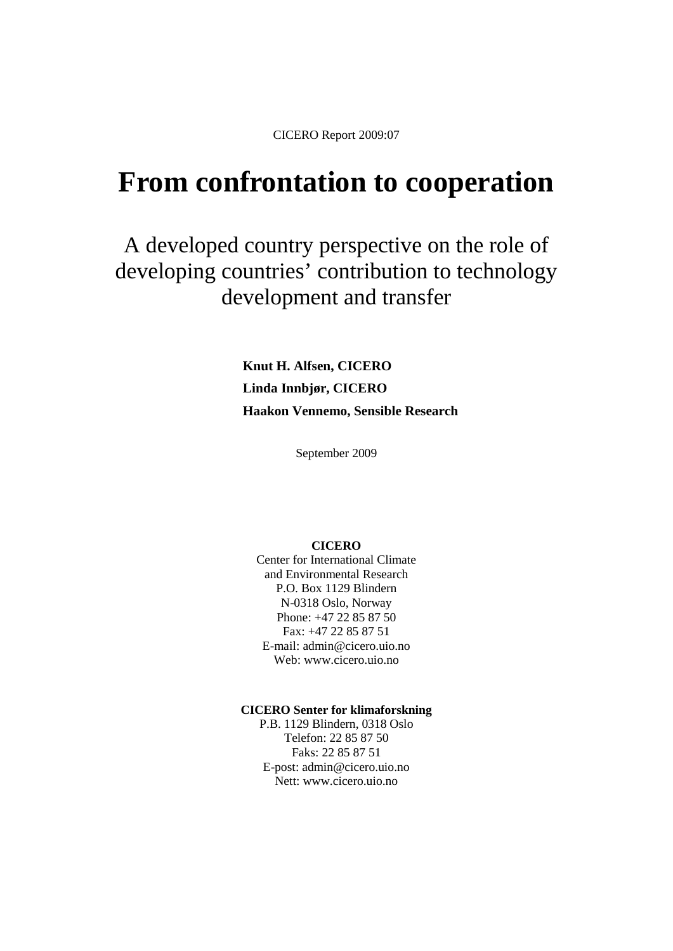CICERO Report 2009:07

# **From confrontation to cooperation**

A developed country perspective on the role of developing countries' contribution to technology development and transfer

> **Knut H. Alfsen, CICERO Linda Innbjør, CICERO Haakon Vennemo, Sensible Research**

> > September 2009

#### **CICERO**

Center for International Climate and Environmental Research P.O. Box 1129 Blindern N-0318 Oslo, Norway Phone: +47 22 85 87 50 Fax: +47 22 85 87 51 E-mail: admin@cicero.uio.no Web: www.cicero.uio.no

#### **CICERO Senter for klimaforskning**

P.B. 1129 Blindern, 0318 Oslo Telefon: 22 85 87 50 Faks: 22 85 87 51 E-post: admin@cicero.uio.no Nett: www.cicero.uio.no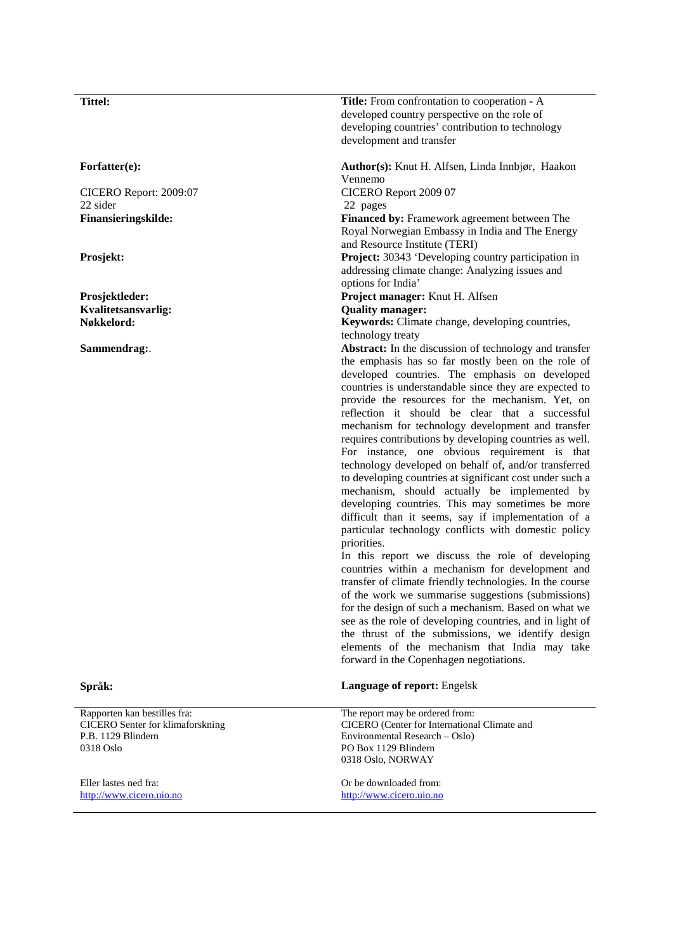CICERO Report: 2009:07 22 sider

**Kvalitetsansvarlig: Quality manager:** 

Rapporten kan bestilles fra: CICERO Senter for klimaforskning P.B. 1129 Blindern 0318 Oslo

Eller lastes ned fra: [http://www.cicero.uio.no](http://www.cicero.uio.no/)

**Tittel: Title:** From confrontation to cooperation **-** A developed country perspective on the role of developing countries' contribution to technology development and transfer

**Forfatter(e): Author(s):** Knut H. Alfsen, Linda Innbjør, Haakon Vennemo

CICERO Report 2009 07

22 pages

**Finansieringskilde:** Financed by: Framework agreement between The Royal Norwegian Embassy in India and The Energy and Resource Institute (TERI)

**Prosjekt:** Prosect: **Project: 30343** 'Developing country participation in addressing climate change: Analyzing issues and options for India'

**Prosjektleder: Project manager:** Knut H. Alfsen

**Nøkkelord: Keywords:** Climate change, developing countries, technology treaty

**Sammendrag:**. the emphasis has so far mostly been on the role of developed countries. The emphasis on developed countries is understandable since they are expected to provide the resources for the mechanism. Yet, on reflection it should be clear that a successful mechanism for technology development and transfer requires contributions by developing countries as well. For instance, one obvious requirement is that technology developed on behalf of, and/or transferred to developing countries at significant cost under such a mechanism, should actually be implemented by developing countries. This may sometimes be more difficult than it seems, say if implementation of a particular technology conflicts with domestic policy priorities.

> In this report we discuss the role of developing countries within a mechanism for development and transfer of climate friendly technologies. In the course of the work we summarise suggestions (submissions) for the design of such a mechanism. Based on what we see as the role of developing countries, and in light of the thrust of the submissions, we identify design elements of the mechanism that India may take forward in the Copenhagen negotiations.

**Språk: Language of report:** Engelsk

The report may be ordered from: CICERO (Center for International Climate and Environmental Research – Oslo) PO Box 1129 Blindern 0318 Oslo, NORWAY

Or be downloaded from: [http://www.cicero.uio.no](http://www.cicero.uio.no/)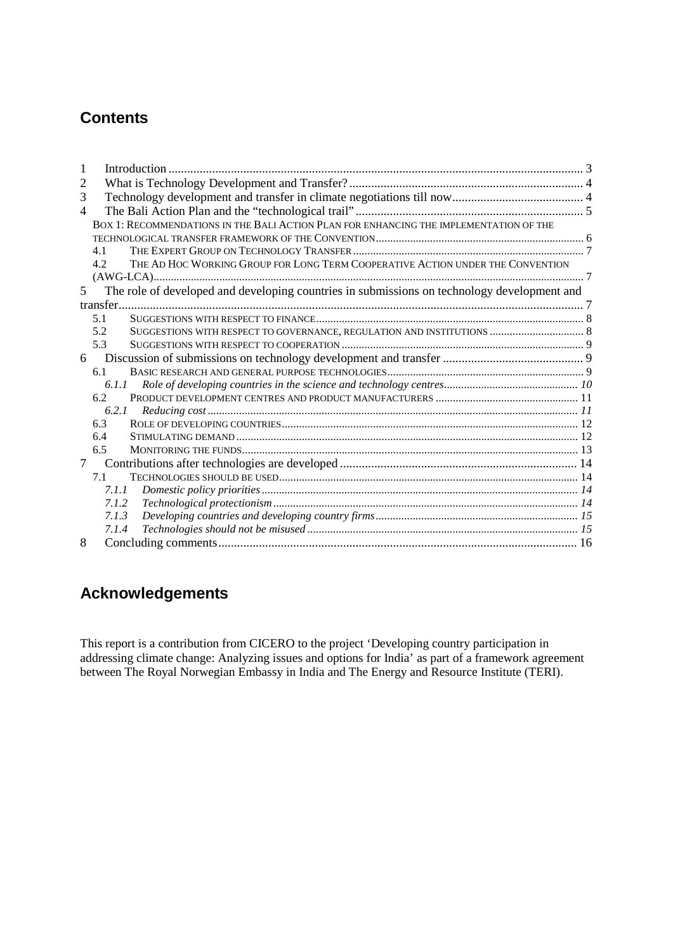## **Contents**

| 2              |       |                                                                                             |  |  |
|----------------|-------|---------------------------------------------------------------------------------------------|--|--|
| 3              |       |                                                                                             |  |  |
| 4              |       |                                                                                             |  |  |
|                |       | BOX 1: RECOMMENDATIONS IN THE BALI ACTION PLAN FOR ENHANCING THE IMPLEMENTATION OF THE      |  |  |
|                |       |                                                                                             |  |  |
|                | 41    |                                                                                             |  |  |
|                | 4.2   | THE AD HOC WORKING GROUP FOR LONG TERM COOPERATIVE ACTION UNDER THE CONVENTION              |  |  |
|                |       |                                                                                             |  |  |
| 5 <sup>1</sup> |       | The role of developed and developing countries in submissions on technology development and |  |  |
|                |       |                                                                                             |  |  |
|                | 5.1   |                                                                                             |  |  |
|                | 5.2   |                                                                                             |  |  |
|                | 5.3   |                                                                                             |  |  |
| 6              |       |                                                                                             |  |  |
|                | 6.1   |                                                                                             |  |  |
|                | 6.1.1 |                                                                                             |  |  |
|                | 6.2   |                                                                                             |  |  |
|                | 6.2.1 |                                                                                             |  |  |
|                | 6.3   |                                                                                             |  |  |
|                | 6.4   |                                                                                             |  |  |
|                | 6.5   |                                                                                             |  |  |
| $\tau$         |       |                                                                                             |  |  |
|                | 7.1   |                                                                                             |  |  |
|                | 7.1.1 |                                                                                             |  |  |
|                | 7.1.2 |                                                                                             |  |  |
|                | 7.1.3 |                                                                                             |  |  |
|                | 7.1.4 |                                                                                             |  |  |
| 8              |       |                                                                                             |  |  |

## **Acknowledgements**

This report is a contribution from CICERO to the project 'Developing country participation in addressing climate change: Analyzing issues and options for India' as part of a framework agreement between The Royal Norwegian Embassy in India and The Energy and Resource Institute (TERI).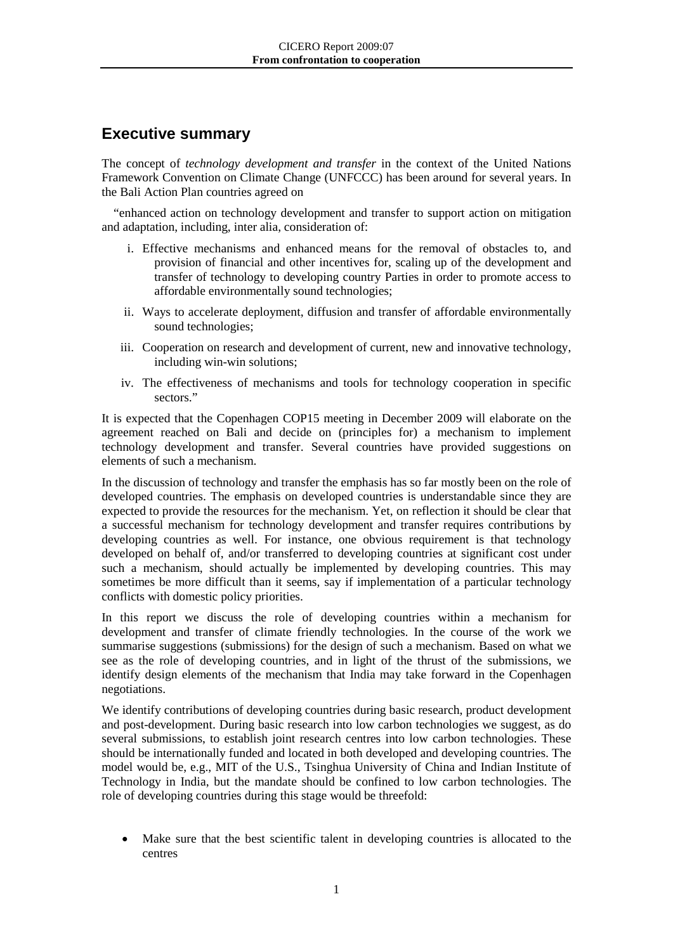## **Executive summary**

The concept of *technology development and transfer* in the context of the United Nations Framework Convention on Climate Change (UNFCCC) has been around for several years. In the Bali Action Plan countries agreed on

"enhanced action on technology development and transfer to support action on mitigation and adaptation, including, inter alia, consideration of:

- i. Effective mechanisms and enhanced means for the removal of obstacles to, and provision of financial and other incentives for, scaling up of the development and transfer of technology to developing country Parties in order to promote access to affordable environmentally sound technologies;
- ii. Ways to accelerate deployment, diffusion and transfer of affordable environmentally sound technologies;
- iii. Cooperation on research and development of current, new and innovative technology, including win-win solutions;
- iv. The effectiveness of mechanisms and tools for technology cooperation in specific sectors."

It is expected that the Copenhagen COP15 meeting in December 2009 will elaborate on the agreement reached on Bali and decide on (principles for) a mechanism to implement technology development and transfer. Several countries have provided suggestions on elements of such a mechanism.

In the discussion of technology and transfer the emphasis has so far mostly been on the role of developed countries. The emphasis on developed countries is understandable since they are expected to provide the resources for the mechanism. Yet, on reflection it should be clear that a successful mechanism for technology development and transfer requires contributions by developing countries as well. For instance, one obvious requirement is that technology developed on behalf of, and/or transferred to developing countries at significant cost under such a mechanism, should actually be implemented by developing countries. This may sometimes be more difficult than it seems, say if implementation of a particular technology conflicts with domestic policy priorities.

In this report we discuss the role of developing countries within a mechanism for development and transfer of climate friendly technologies. In the course of the work we summarise suggestions (submissions) for the design of such a mechanism. Based on what we see as the role of developing countries, and in light of the thrust of the submissions, we identify design elements of the mechanism that India may take forward in the Copenhagen negotiations.

We identify contributions of developing countries during basic research, product development and post-development. During basic research into low carbon technologies we suggest, as do several submissions, to establish joint research centres into low carbon technologies. These should be internationally funded and located in both developed and developing countries. The model would be, e.g., MIT of the U.S., Tsinghua University of China and Indian Institute of Technology in India, but the mandate should be confined to low carbon technologies. The role of developing countries during this stage would be threefold:

Make sure that the best scientific talent in developing countries is allocated to the centres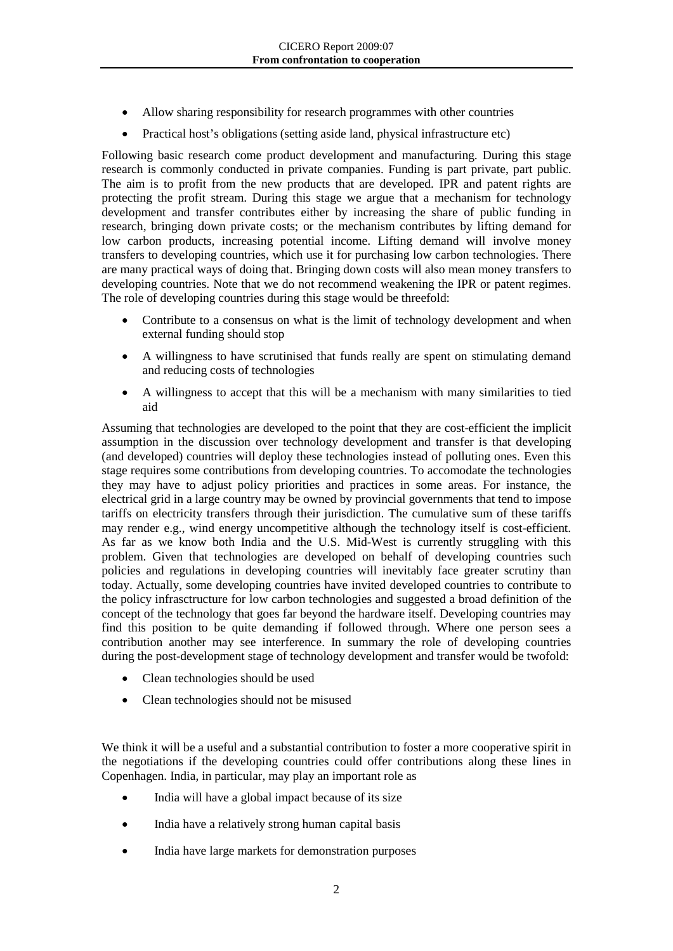- Allow sharing responsibility for research programmes with other countries
- Practical host's obligations (setting aside land, physical infrastructure etc)

Following basic research come product development and manufacturing. During this stage research is commonly conducted in private companies. Funding is part private, part public. The aim is to profit from the new products that are developed. IPR and patent rights are protecting the profit stream. During this stage we argue that a mechanism for technology development and transfer contributes either by increasing the share of public funding in research, bringing down private costs; or the mechanism contributes by lifting demand for low carbon products, increasing potential income. Lifting demand will involve money transfers to developing countries, which use it for purchasing low carbon technologies. There are many practical ways of doing that. Bringing down costs will also mean money transfers to developing countries. Note that we do not recommend weakening the IPR or patent regimes. The role of developing countries during this stage would be threefold:

- Contribute to a consensus on what is the limit of technology development and when external funding should stop
- A willingness to have scrutinised that funds really are spent on stimulating demand and reducing costs of technologies
- A willingness to accept that this will be a mechanism with many similarities to tied aid

Assuming that technologies are developed to the point that they are cost-efficient the implicit assumption in the discussion over technology development and transfer is that developing (and developed) countries will deploy these technologies instead of polluting ones. Even this stage requires some contributions from developing countries. To accomodate the technologies they may have to adjust policy priorities and practices in some areas. For instance, the electrical grid in a large country may be owned by provincial governments that tend to impose tariffs on electricity transfers through their jurisdiction. The cumulative sum of these tariffs may render e.g., wind energy uncompetitive although the technology itself is cost-efficient. As far as we know both India and the U.S. Mid-West is currently struggling with this problem. Given that technologies are developed on behalf of developing countries such policies and regulations in developing countries will inevitably face greater scrutiny than today. Actually, some developing countries have invited developed countries to contribute to the policy infrasctructure for low carbon technologies and suggested a broad definition of the concept of the technology that goes far beyond the hardware itself. Developing countries may find this position to be quite demanding if followed through. Where one person sees a contribution another may see interference. In summary the role of developing countries during the post-development stage of technology development and transfer would be twofold:

- Clean technologies should be used
- Clean technologies should not be misused

We think it will be a useful and a substantial contribution to foster a more cooperative spirit in the negotiations if the developing countries could offer contributions along these lines in Copenhagen. India, in particular, may play an important role as

- India will have a global impact because of its size
- India have a relatively strong human capital basis
- India have large markets for demonstration purposes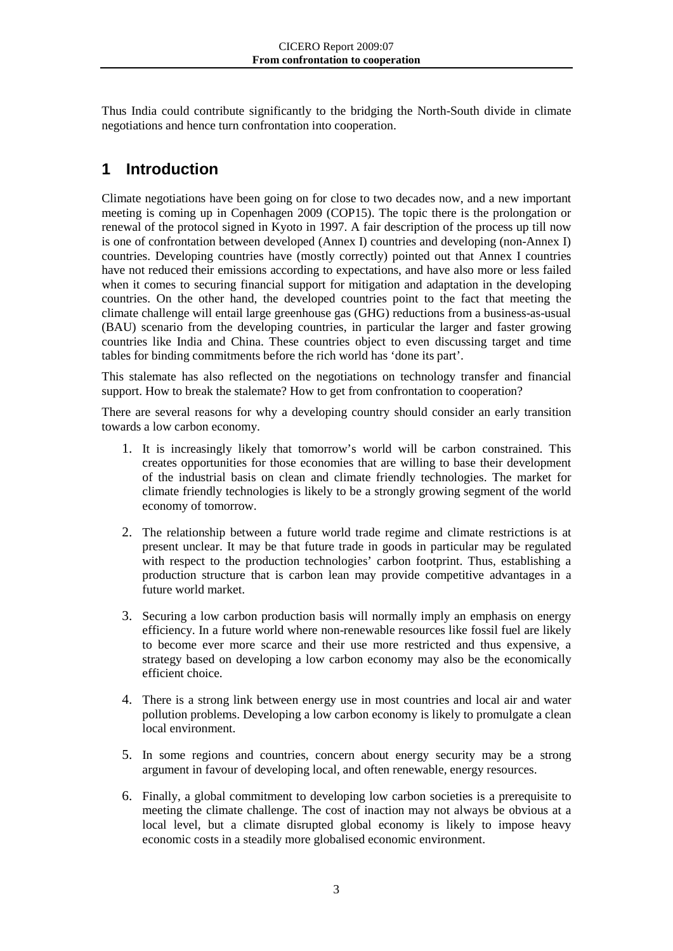Thus India could contribute significantly to the bridging the North-South divide in climate negotiations and hence turn confrontation into cooperation.

## <span id="page-5-0"></span>**1 Introduction**

Climate negotiations have been going on for close to two decades now, and a new important meeting is coming up in Copenhagen 2009 (COP15). The topic there is the prolongation or renewal of the protocol signed in Kyoto in 1997. A fair description of the process up till now is one of confrontation between developed (Annex I) countries and developing (non-Annex I) countries. Developing countries have (mostly correctly) pointed out that Annex I countries have not reduced their emissions according to expectations, and have also more or less failed when it comes to securing financial support for mitigation and adaptation in the developing countries. On the other hand, the developed countries point to the fact that meeting the climate challenge will entail large greenhouse gas (GHG) reductions from a business-as-usual (BAU) scenario from the developing countries, in particular the larger and faster growing countries like India and China. These countries object to even discussing target and time tables for binding commitments before the rich world has 'done its part'.

This stalemate has also reflected on the negotiations on technology transfer and financial support. How to break the stalemate? How to get from confrontation to cooperation?

There are several reasons for why a developing country should consider an early transition towards a low carbon economy.

- 1. It is increasingly likely that tomorrow's world will be carbon constrained. This creates opportunities for those economies that are willing to base their development of the industrial basis on clean and climate friendly technologies. The market for climate friendly technologies is likely to be a strongly growing segment of the world economy of tomorrow.
- 2. The relationship between a future world trade regime and climate restrictions is at present unclear. It may be that future trade in goods in particular may be regulated with respect to the production technologies' carbon footprint. Thus, establishing a production structure that is carbon lean may provide competitive advantages in a future world market.
- 3. Securing a low carbon production basis will normally imply an emphasis on energy efficiency. In a future world where non-renewable resources like fossil fuel are likely to become ever more scarce and their use more restricted and thus expensive, a strategy based on developing a low carbon economy may also be the economically efficient choice.
- 4. There is a strong link between energy use in most countries and local air and water pollution problems. Developing a low carbon economy is likely to promulgate a clean local environment.
- 5. In some regions and countries, concern about energy security may be a strong argument in favour of developing local, and often renewable, energy resources.
- 6. Finally, a global commitment to developing low carbon societies is a prerequisite to meeting the climate challenge. The cost of inaction may not always be obvious at a local level, but a climate disrupted global economy is likely to impose heavy economic costs in a steadily more globalised economic environment.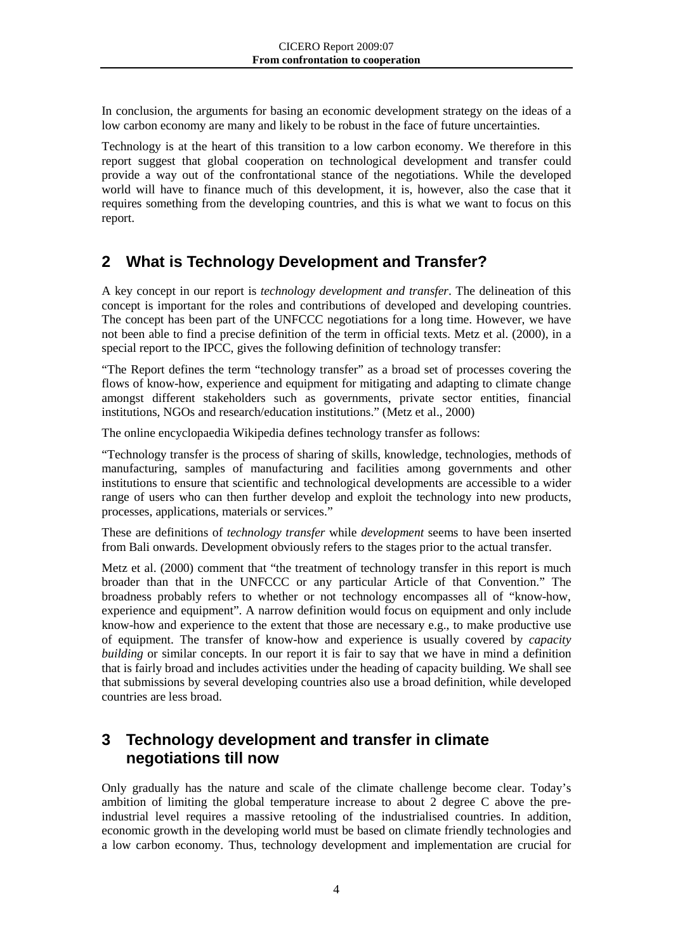In conclusion, the arguments for basing an economic development strategy on the ideas of a low carbon economy are many and likely to be robust in the face of future uncertainties.

Technology is at the heart of this transition to a low carbon economy. We therefore in this report suggest that global cooperation on technological development and transfer could provide a way out of the confrontational stance of the negotiations. While the developed world will have to finance much of this development, it is, however, also the case that it requires something from the developing countries, and this is what we want to focus on this report.

## <span id="page-6-0"></span>**2 What is Technology Development and Transfer?**

A key concept in our report is *technology development and transfer*. The delineation of this concept is important for the roles and contributions of developed and developing countries. The concept has been part of the UNFCCC negotiations for a long time. However, we have not been able to find a precise definition of the term in official texts. Metz et al. (2000), in a special report to the IPCC, gives the following definition of technology transfer:

"The Report defines the term "technology transfer" as a broad set of processes covering the flows of know-how, experience and equipment for mitigating and adapting to climate change amongst different stakeholders such as governments, private sector entities, financial institutions, NGOs and research/education institutions." (Metz et al., 2000)

The online encyclopaedia Wikipedia defines technology transfer as follows:

"Technology transfer is the process of sharing of skills, knowledge, technologies, methods of manufacturing, samples of manufacturing and facilities among governments and other institutions to ensure that scientific and technological developments are accessible to a wider range of users who can then further develop and exploit the technology into new products, processes, applications, materials or services."

These are definitions of *technology transfer* while *development* seems to have been inserted from Bali onwards. Development obviously refers to the stages prior to the actual transfer.

Metz et al. (2000) comment that "the treatment of technology transfer in this report is much broader than that in the UNFCCC or any particular Article of that Convention." The broadness probably refers to whether or not technology encompasses all of "know-how, experience and equipment". A narrow definition would focus on equipment and only include know-how and experience to the extent that those are necessary e.g., to make productive use of equipment. The transfer of know-how and experience is usually covered by *capacity building* or similar concepts. In our report it is fair to say that we have in mind a definition that is fairly broad and includes activities under the heading of capacity building. We shall see that submissions by several developing countries also use a broad definition, while developed countries are less broad.

## <span id="page-6-1"></span>**3 Technology development and transfer in climate negotiations till now**

Only gradually has the nature and scale of the climate challenge become clear. Today's ambition of limiting the global temperature increase to about 2 degree C above the preindustrial level requires a massive retooling of the industrialised countries. In addition, economic growth in the developing world must be based on climate friendly technologies and a low carbon economy. Thus, technology development and implementation are crucial for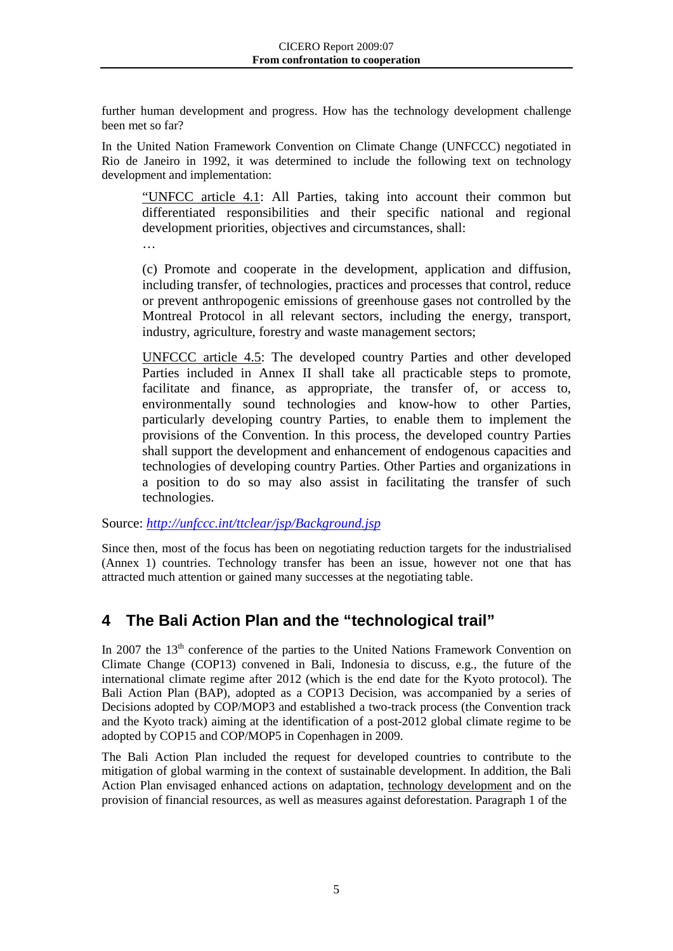further human development and progress. How has the technology development challenge been met so far?

In the United Nation Framework Convention on Climate Change (UNFCCC) negotiated in Rio de Janeiro in 1992, it was determined to include the following text on technology development and implementation:

"UNFCC article 4.1: All Parties, taking into account their common but differentiated responsibilities and their specific national and regional development priorities, objectives and circumstances, shall:

…

(c) Promote and cooperate in the development, application and diffusion, including transfer, of technologies, practices and processes that control, reduce or prevent anthropogenic emissions of greenhouse gases not controlled by the Montreal Protocol in all relevant sectors, including the energy, transport, industry, agriculture, forestry and waste management sectors;

UNFCCC article 4.5 : The developed country Parties and other developed Parties included in Annex II shall take all practicable steps to promote, facilitate and finance, as appropriate, the transfer of, or access to, environmentally sound technologies and know-how to other Parties, particularly developing country Parties, to enable them to implement the provisions of the Convention. In this process, the developed country Parties shall support the development and enhancement of endogenous capacities and technologies of developing country Parties. Other Parties and organizations in a position to do so may also assist in facilitating the transfer of such technologies.

Source: *<http://unfccc.int/ttclear/jsp/Background.jsp>*

Since then, most of the focus has been on negotiating reduction targets for the industrialised (Annex 1) countries. Technology transfer has been an issue, however not one that has attracted much attention or gained many successes at the negotiating table.

## <span id="page-7-0"></span>**4 The Bali Action Plan and the "technological trail"**

In 2007 the 13<sup>th</sup> conference of the parties to the United Nations Framework Convention on Climate Change (COP13) convened in Bali, Indonesia to discuss, e.g., the future of the international climate regime after 2012 (which is the end date for the Kyoto protocol). The Bali Action Plan (BAP), adopted as a COP13 Decision, was accompanied by a series of Decisions adopted by COP/MOP3 and established a two-track process (the Convention track and the Kyoto track) aiming at the identification of a post-2012 global climate regime to be adopted by COP15 and COP/MOP5 in Copenhagen in 2009.

The Bali Action Plan included the request for developed countries to contribute to the mitigation of global warming in the context of sustainable development. In addition, the Bali Action Plan envisaged enhanced actions on adaptation, technology development and on the provision of financial resources, as well as measures against deforestation. Paragraph 1 of the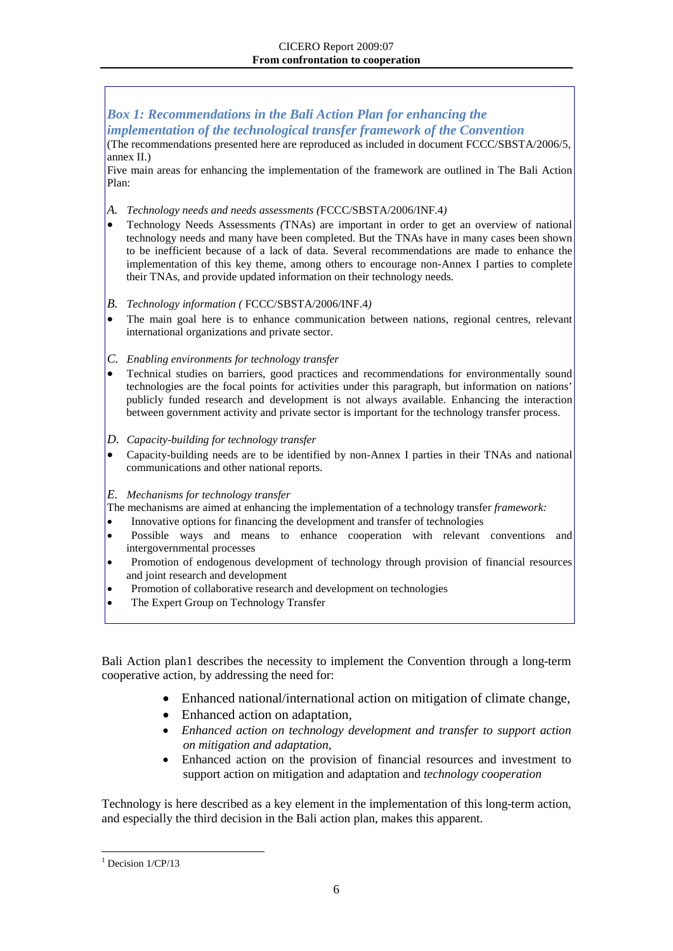#### *Box 1: Recommendations in the Bali Action Plan for enhancing the implementation of the technological transfer framework of the Convention*

(The recommendations presented here are reproduced as included in document FCCC/SBSTA/2006/5, annex II.)

Five main areas for enhancing the implementation of the framework are outlined in The Bali Action Plan:

- *A. Technology needs and needs assessments (*FCCC/SBSTA/2006/INF.4*)*
- Technology Needs Assessments *(*TNAs) are important in order to get an overview of national technology needs and many have been completed. But the TNAs have in many cases been shown to be inefficient because of a lack of data. Several recommendations are made to enhance the implementation of this key theme, among others to encourage non-Annex I parties to complete their TNAs, and provide updated information on their technology needs.
- *B. Technology information (* FCCC/SBSTA/2006/INF.4*)*
- The main goal here is to enhance communication between nations, regional centres, relevant international organizations and private sector.
- *C. Enabling environments for technology transfer*
- Technical studies on barriers, good practices and recommendations for environmentally sound technologies are the focal points for activities under this paragraph, but information on nations' publicly funded research and development is not always available. Enhancing the interaction between government activity and private sector is important for the technology transfer process.
- *D. Capacity-building for technology transfer*
- Capacity-building needs are to be identified by non-Annex I parties in their TNAs and national communications and other national reports.
- *E. Mechanisms for technology transfer*
- The mechanisms are aimed at enhancing the implementation of a technology transfer *framework:*
- Innovative options for financing the development and transfer of technologies
- Possible ways and means to enhance cooperation with relevant conventions and intergovernmental processes
- Promotion of endogenous development of technology through provision of financial resources and joint research and development
- Promotion of collaborative research and development on technologies
- The Expert Group on Technology Transfer

Bali Action plan[1](#page-8-0) describes the necessity to implement the Convention through a long-term cooperative action, by addressing the need for:

- Enhanced national/international action on mitigation of climate change,
- Enhanced action on adaptation,
- *Enhanced action on technology development and transfer to support action on mitigation and adaptation,*
- Enhanced action on the provision of financial resources and investment to support action on mitigation and adaptation and *technology cooperation*

Technology is here described as a key element in the implementation of this long-term action, and especially the third decision in the Bali action plan, makes this apparent.

<span id="page-8-0"></span> $<sup>1</sup>$  Decision  $1/\text{CP}/13$ </sup>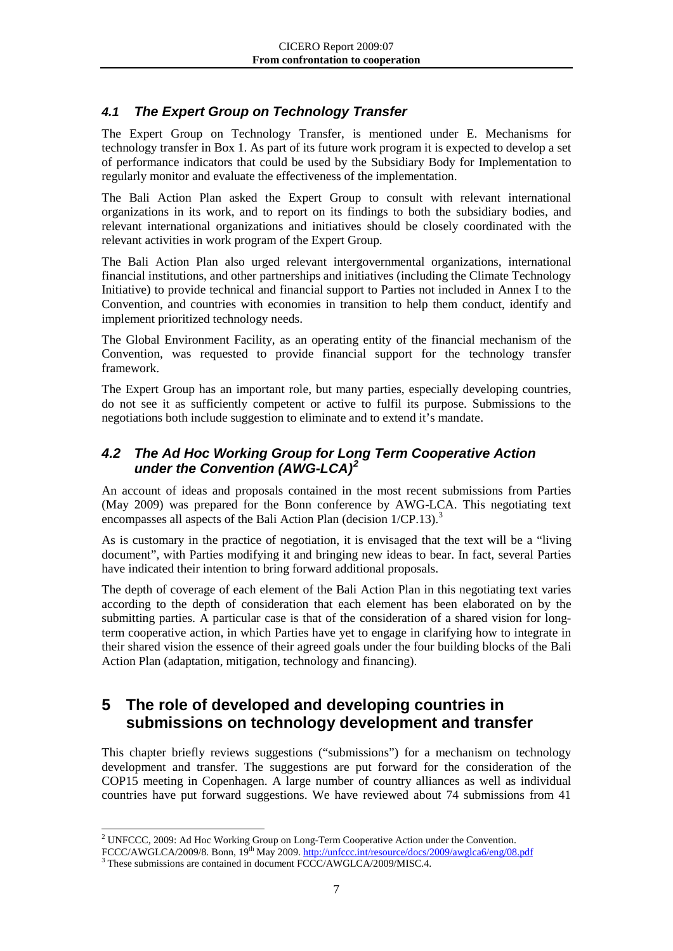### <span id="page-9-0"></span>*4.1 The Expert Group on Technology Transfer*

The Expert Group on Technology Transfer, is mentioned under E. Mechanisms for technology transfer in Box 1. As part of its future work program it is expected to develop a set of performance indicators that could be used by the Subsidiary Body for Implementation to regularly monitor and evaluate the effectiveness of the implementation.

The Bali Action Plan asked the Expert Group to consult with relevant international organizations in its work, and to report on its findings to both the subsidiary bodies, and relevant international organizations and initiatives should be closely coordinated with the relevant activities in work program of the Expert Group.

The Bali Action Plan also urged relevant intergovernmental organizations, international financial institutions, and other partnerships and initiatives (including the Climate Technology Initiative) to provide technical and financial support to Parties not included in Annex I to the Convention, and countries with economies in transition to help them conduct, identify and implement prioritized technology needs.

The Global Environment Facility, as an operating entity of the financial mechanism of the Convention, was requested to provide financial support for the technology transfer framework.

The Expert Group has an important role, but many parties, especially developing countries, do not see it as sufficiently competent or active to fulfil its purpose. Submissions to the negotiations both include suggestion to eliminate and to extend it's mandate.

#### <span id="page-9-1"></span>*4.2 The Ad Hoc Working Group for Long Term Cooperative Action under the Convention (AWG-LCA)[2](#page-9-3)*

An account of ideas and proposals contained in the most recent submissions from Parties (May 2009) was prepared for the Bonn conference by AWG-LCA. This negotiating text encompasses all aspects of the Bali Action Plan (decision  $1/CP.13$  $1/CP.13$ ).<sup>3</sup>

As is customary in the practice of negotiation, it is envisaged that the text will be a "living document", with Parties modifying it and bringing new ideas to bear. In fact, several Parties have indicated their intention to bring forward additional proposals.

The depth of coverage of each element of the Bali Action Plan in this negotiating text varies according to the depth of consideration that each element has been elaborated on by the submitting parties. A particular case is that of the consideration of a shared vision for longterm cooperative action, in which Parties have yet to engage in clarifying how to integrate in their shared vision the essence of their agreed goals under the four building blocks of the Bali Action Plan (adaptation, mitigation, technology and financing).

## <span id="page-9-2"></span>**5 The role of developed and developing countries in submissions on technology development and transfer**

This chapter briefly reviews suggestions ("submissions") for a mechanism on technology development and transfer. The suggestions are put forward for the consideration of the COP15 meeting in Copenhagen. A large number of country alliances as well as individual countries have put forward suggestions. We have reviewed about 74 submissions from 41

<span id="page-9-3"></span> <sup>2</sup> UNFCCC, 2009: Ad Hoc Working Group on Long-Term Cooperative Action under the Convention.

FCCC/AWGLCA/2009/8. Bonn, 19<sup>th</sup> May 2009[. http://unfccc.int/resource/docs/2009/awglca6/eng/08.pdf](http://unfccc.int/resource/docs/2009/awglca6/eng/08.pdf) <sup>3</sup> These submissions are contained in document FCCC/AWGLCA/2009/MISC.4.

<span id="page-9-4"></span>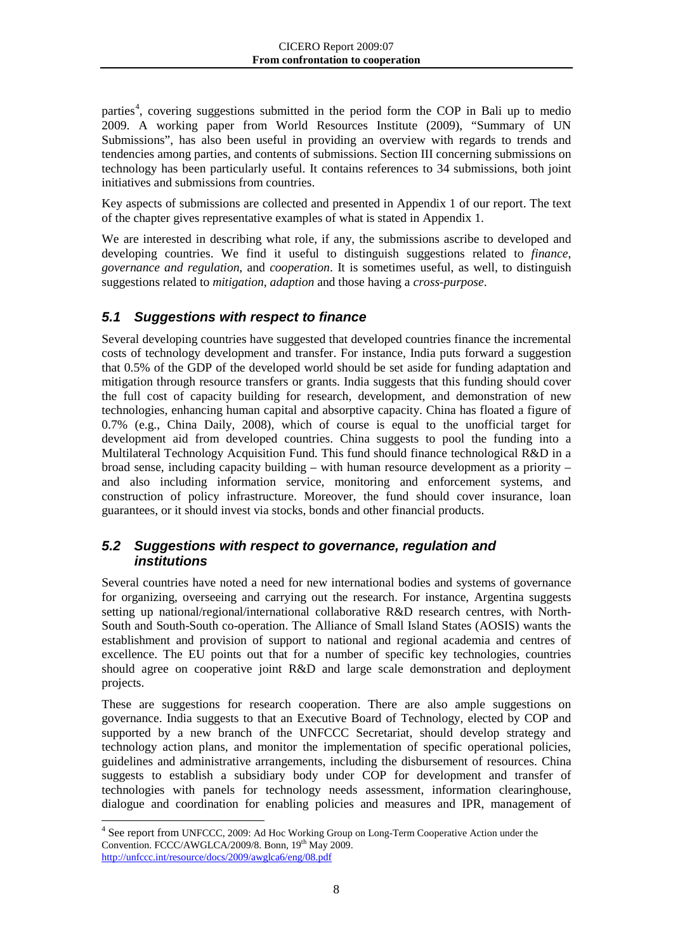parties<sup>[4](#page-10-2)</sup>, covering suggestions submitted in the period form the COP in Bali up to medio 2009. A working paper from World Resources Institute (2009), "Summary of UN Submissions", has also been useful in providing an overview with regards to trends and tendencies among parties, and contents of submissions. Section III concerning submissions on technology has been particularly useful. It contains references to 34 submissions, both joint initiatives and submissions from countries.

Key aspects of submissions are collected and presented in Appendix 1 of our report. The text of the chapter gives representative examples of what is stated in Appendix 1.

We are interested in describing what role, if any, the submissions ascribe to developed and developing countries. We find it useful to distinguish suggestions related to *finance*, *governance and regulation*, and *cooperation*. It is sometimes useful, as well, to distinguish suggestions related to *mitigation*, *adaption* and those having a *cross-purpose*.

#### <span id="page-10-0"></span>*5.1 Suggestions with respect to finance*

Several developing countries have suggested that developed countries finance the incremental costs of technology development and transfer. For instance, India puts forward a suggestion that 0.5% of the GDP of the developed world should be set aside for funding adaptation and mitigation through resource transfers or grants. India suggests that this funding should cover the full cost of capacity building for research, development, and demonstration of new technologies, enhancing human capital and absorptive capacity. China has floated a figure of 0.7% (e.g., China Daily, 2008), which of course is equal to the unofficial target for development aid from developed countries. China suggests to pool the funding into a Multilateral Technology Acquisition Fund. This fund should finance technological R&D in a broad sense, including capacity building – with human resource development as a priority – and also including information service, monitoring and enforcement systems, and construction of policy infrastructure. Moreover, the fund should cover insurance, loan guarantees, or it should invest via stocks, bonds and other financial products.

#### <span id="page-10-1"></span>*5.2 Suggestions with respect to governance, regulation and institutions*

Several countries have noted a need for new international bodies and systems of governance for organizing, overseeing and carrying out the research. For instance, Argentina suggests setting up national/regional/international collaborative R&D research centres, with North-South and South-South co-operation. The Alliance of Small Island States (AOSIS) wants the establishment and provision of support to national and regional academia and centres of excellence. The EU points out that for a number of specific key technologies, countries should agree on cooperative joint R&D and large scale demonstration and deployment projects.

These are suggestions for research cooperation. There are also ample suggestions on governance. India suggests to that an Executive Board of Technology, elected by COP and supported by a new branch of the UNFCCC Secretariat, should develop strategy and technology action plans, and monitor the implementation of specific operational policies, guidelines and administrative arrangements, including the disbursement of resources. China suggests to establish a subsidiary body under COP for development and transfer of technologies with panels for technology needs assessment, information clearinghouse, dialogue and coordination for enabling policies and measures and IPR, management of

<span id="page-10-2"></span> <sup>4</sup> See report from UNFCCC, 2009: Ad Hoc Working Group on Long-Term Cooperative Action under the Convention. FCCC/AWGLCA/2009/8. Bonn, 19th May 2009. <http://unfccc.int/resource/docs/2009/awglca6/eng/08.pdf>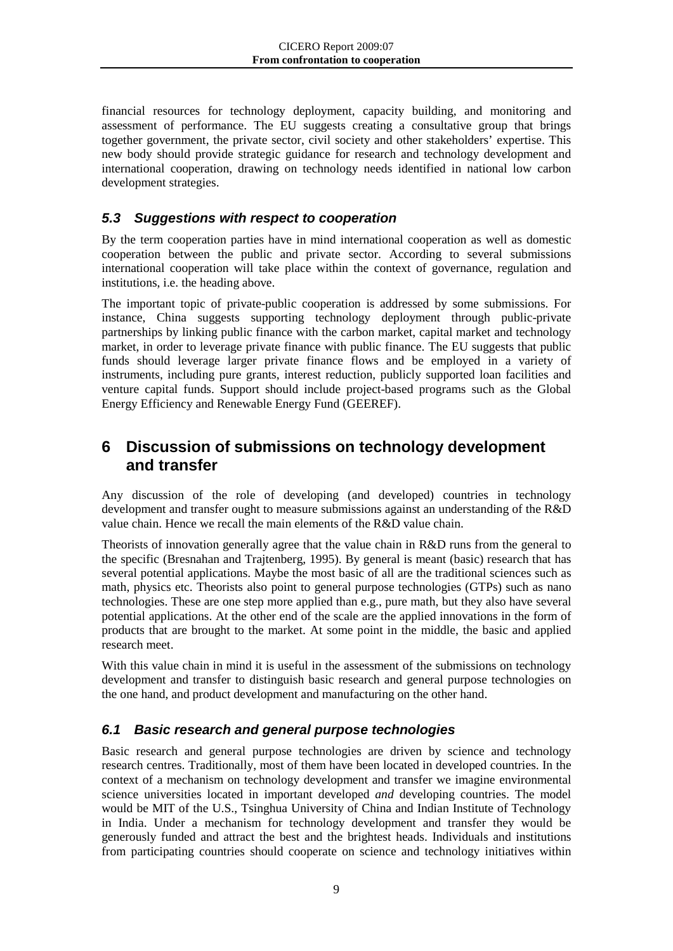financial resources for technology deployment, capacity building, and monitoring and assessment of performance. The EU suggests creating a consultative group that brings together government, the private sector, civil society and other stakeholders' expertise. This new body should provide strategic guidance for research and technology development and international cooperation, drawing on technology needs identified in national low carbon development strategies.

### <span id="page-11-0"></span>*5.3 Suggestions with respect to cooperation*

By the term cooperation parties have in mind international cooperation as well as domestic cooperation between the public and private sector. According to several submissions international cooperation will take place within the context of governance, regulation and institutions, i.e. the heading above.

The important topic of private-public cooperation is addressed by some submissions. For instance, China suggests supporting technology deployment through public-private partnerships by linking public finance with the carbon market, capital market and technology market, in order to leverage private finance with public finance. The EU suggests that public funds should leverage larger private finance flows and be employed in a variety of instruments, including pure grants, interest reduction, publicly supported loan facilities and venture capital funds. Support should include project-based programs such as the Global Energy Efficiency and Renewable Energy Fund (GEEREF).

## <span id="page-11-1"></span>**6 Discussion of submissions on technology development and transfer**

Any discussion of the role of developing (and developed) countries in technology development and transfer ought to measure submissions against an understanding of the R&D value chain. Hence we recall the main elements of the R&D value chain.

Theorists of innovation generally agree that the value chain in R&D runs from the general to the specific (Bresnahan and Trajtenberg, 1995). By general is meant (basic) research that has several potential applications. Maybe the most basic of all are the traditional sciences such as math, physics etc. Theorists also point to general purpose technologies (GTPs) such as nano technologies. These are one step more applied than e.g., pure math, but they also have several potential applications. At the other end of the scale are the applied innovations in the form of products that are brought to the market. At some point in the middle, the basic and applied research meet.

With this value chain in mind it is useful in the assessment of the submissions on technology development and transfer to distinguish basic research and general purpose technologies on the one hand, and product development and manufacturing on the other hand.

#### <span id="page-11-2"></span>*6.1 Basic research and general purpose technologies*

Basic research and general purpose technologies are driven by science and technology research centres. Traditionally, most of them have been located in developed countries. In the context of a mechanism on technology development and transfer we imagine environmental science universities located in important developed *and* developing countries. The model would be MIT of the U.S., Tsinghua University of China and Indian Institute of Technology in India. Under a mechanism for technology development and transfer they would be generously funded and attract the best and the brightest heads. Individuals and institutions from participating countries should cooperate on science and technology initiatives within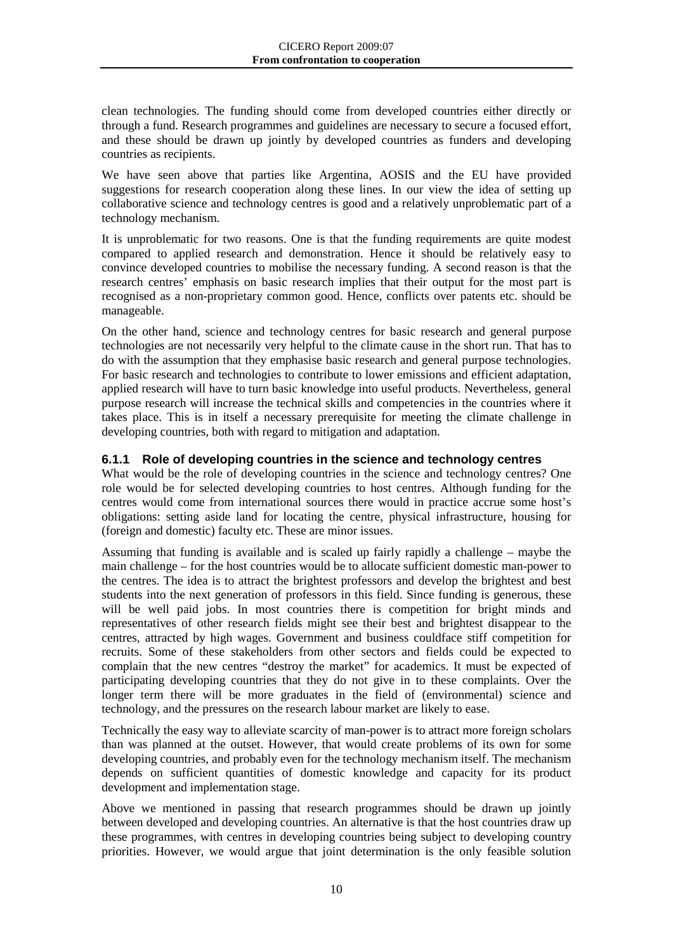clean technologies. The funding should come from developed countries either directly or through a fund. Research programmes and guidelines are necessary to secure a focused effort, and these should be drawn up jointly by developed countries as funders and developing countries as recipients.

We have seen above that parties like Argentina, AOSIS and the EU have provided suggestions for research cooperation along these lines. In our view the idea of setting up collaborative science and technology centres is good and a relatively unproblematic part of a technology mechanism.

It is unproblematic for two reasons. One is that the funding requirements are quite modest compared to applied research and demonstration. Hence it should be relatively easy to convince developed countries to mobilise the necessary funding. A second reason is that the research centres' emphasis on basic research implies that their output for the most part is recognised as a non-proprietary common good. Hence, conflicts over patents etc. should be manageable.

On the other hand, science and technology centres for basic research and general purpose technologies are not necessarily very helpful to the climate cause in the short run. That has to do with the assumption that they emphasise basic research and general purpose technologies. For basic research and technologies to contribute to lower emissions and efficient adaptation, applied research will have to turn basic knowledge into useful products. Nevertheless, general purpose research will increase the technical skills and competencies in the countries where it takes place. This is in itself a necessary prerequisite for meeting the climate challenge in developing countries, both with regard to mitigation and adaptation.

#### <span id="page-12-0"></span>**6.1.1 Role of developing countries in the science and technology centres**

What would be the role of developing countries in the science and technology centres? One role would be for selected developing countries to host centres. Although funding for the centres would come from international sources there would in practice accrue some host's obligations: setting aside land for locating the centre, physical infrastructure, housing for (foreign and domestic) faculty etc. These are minor issues.

Assuming that funding is available and is scaled up fairly rapidly a challenge – maybe the main challenge – for the host countries would be to allocate sufficient domestic man-power to the centres. The idea is to attract the brightest professors and develop the brightest and best students into the next generation of professors in this field. Since funding is generous, these will be well paid jobs. In most countries there is competition for bright minds and representatives of other research fields might see their best and brightest disappear to the centres, attracted by high wages. Government and business couldface stiff competition for recruits. Some of these stakeholders from other sectors and fields could be expected to complain that the new centres "destroy the market" for academics. It must be expected of participating developing countries that they do not give in to these complaints. Over the longer term there will be more graduates in the field of (environmental) science and technology, and the pressures on the research labour market are likely to ease.

Technically the easy way to alleviate scarcity of man-power is to attract more foreign scholars than was planned at the outset. However, that would create problems of its own for some developing countries, and probably even for the technology mechanism itself. The mechanism depends on sufficient quantities of domestic knowledge and capacity for its product development and implementation stage.

Above we mentioned in passing that research programmes should be drawn up jointly between developed and developing countries. An alternative is that the host countries draw up these programmes, with centres in developing countries being subject to developing country priorities. However, we would argue that joint determination is the only feasible solution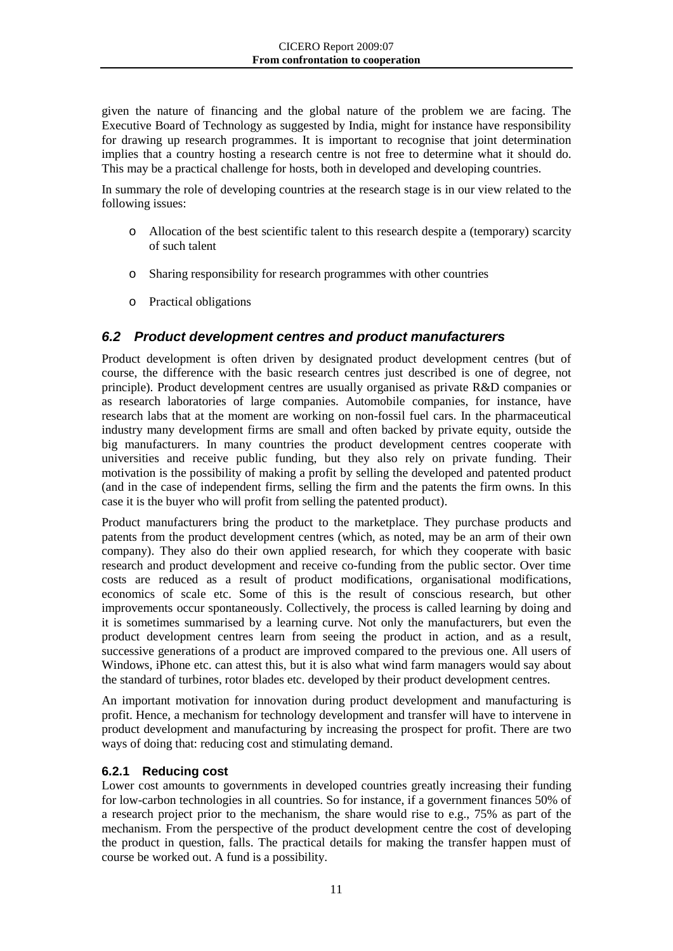given the nature of financing and the global nature of the problem we are facing. The Executive Board of Technology as suggested by India, might for instance have responsibility for drawing up research programmes. It is important to recognise that joint determination implies that a country hosting a research centre is not free to determine what it should do. This may be a practical challenge for hosts, both in developed and developing countries.

In summary the role of developing countries at the research stage is in our view related to the following issues:

- o Allocation of the best scientific talent to this research despite a (temporary) scarcity of such talent
- o Sharing responsibility for research programmes with other countries
- o Practical obligations

#### <span id="page-13-0"></span>*6.2 Product development centres and product manufacturers*

Product development is often driven by designated product development centres (but of course, the difference with the basic research centres just described is one of degree, not principle). Product development centres are usually organised as private R&D companies or as research laboratories of large companies. Automobile companies, for instance, have research labs that at the moment are working on non-fossil fuel cars. In the pharmaceutical industry many development firms are small and often backed by private equity, outside the big manufacturers. In many countries the product development centres cooperate with universities and receive public funding, but they also rely on private funding. Their motivation is the possibility of making a profit by selling the developed and patented product (and in the case of independent firms, selling the firm and the patents the firm owns. In this case it is the buyer who will profit from selling the patented product).

Product manufacturers bring the product to the marketplace. They purchase products and patents from the product development centres (which, as noted, may be an arm of their own company). They also do their own applied research, for which they cooperate with basic research and product development and receive co-funding from the public sector. Over time costs are reduced as a result of product modifications, organisational modifications, economics of scale etc. Some of this is the result of conscious research, but other improvements occur spontaneously. Collectively, the process is called learning by doing and it is sometimes summarised by a learning curve. Not only the manufacturers, but even the product development centres learn from seeing the product in action, and as a result, successive generations of a product are improved compared to the previous one. All users of Windows, iPhone etc. can attest this, but it is also what wind farm managers would say about the standard of turbines, rotor blades etc. developed by their product development centres.

An important motivation for innovation during product development and manufacturing is profit. Hence, a mechanism for technology development and transfer will have to intervene in product development and manufacturing by increasing the prospect for profit. There are two ways of doing that: reducing cost and stimulating demand.

#### <span id="page-13-1"></span>**6.2.1 Reducing cost**

Lower cost amounts to governments in developed countries greatly increasing their funding for low-carbon technologies in all countries. So for instance, if a government finances 50% of a research project prior to the mechanism, the share would rise to e.g., 75% as part of the mechanism. From the perspective of the product development centre the cost of developing the product in question, falls. The practical details for making the transfer happen must of course be worked out. A fund is a possibility.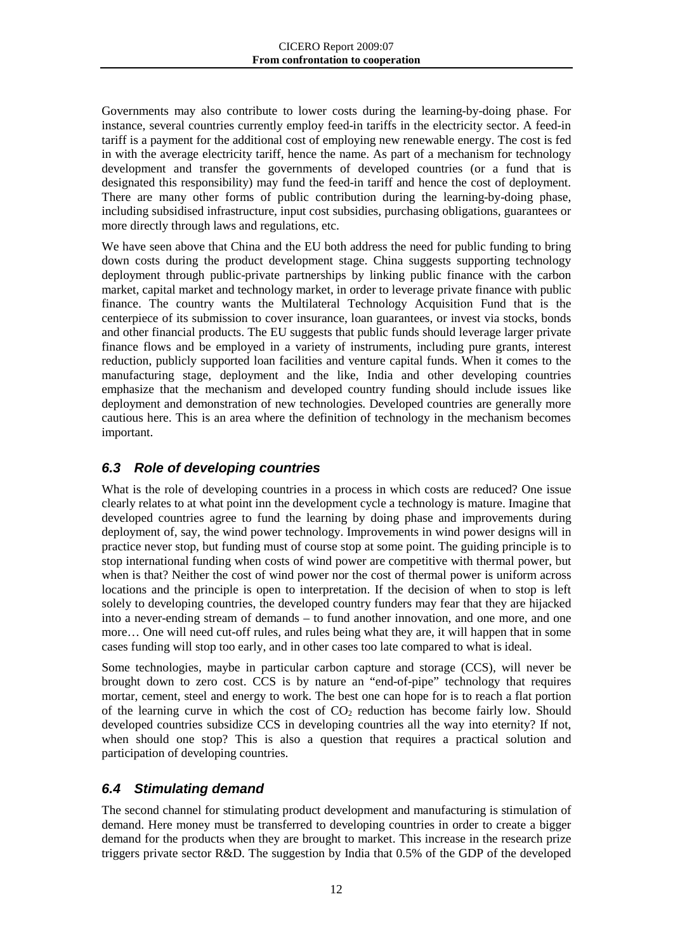Governments may also contribute to lower costs during the learning-by-doing phase. For instance, several countries currently employ feed-in tariffs in the electricity sector. A feed-in tariff is a payment for the additional cost of employing new renewable energy. The cost is fed in with the average electricity tariff, hence the name. As part of a mechanism for technology development and transfer the governments of developed countries (or a fund that is designated this responsibility) may fund the feed-in tariff and hence the cost of deployment. There are many other forms of public contribution during the learning-by-doing phase, including subsidised infrastructure, input cost subsidies, purchasing obligations, guarantees or more directly through laws and regulations, etc.

We have seen above that China and the EU both address the need for public funding to bring down costs during the product development stage. China suggests supporting technology deployment through public-private partnerships by linking public finance with the carbon market, capital market and technology market, in order to leverage private finance with public finance. The country wants the Multilateral Technology Acquisition Fund that is the centerpiece of its submission to cover insurance, loan guarantees, or invest via stocks, bonds and other financial products. The EU suggests that public funds should leverage larger private finance flows and be employed in a variety of instruments, including pure grants, interest reduction, publicly supported loan facilities and venture capital funds. When it comes to the manufacturing stage, deployment and the like, India and other developing countries emphasize that the mechanism and developed country funding should include issues like deployment and demonstration of new technologies. Developed countries are generally more cautious here. This is an area where the definition of technology in the mechanism becomes important.

## <span id="page-14-0"></span>*6.3 Role of developing countries*

What is the role of developing countries in a process in which costs are reduced? One issue clearly relates to at what point inn the development cycle a technology is mature. Imagine that developed countries agree to fund the learning by doing phase and improvements during deployment of, say, the wind power technology. Improvements in wind power designs will in practice never stop, but funding must of course stop at some point. The guiding principle is to stop international funding when costs of wind power are competitive with thermal power, but when is that? Neither the cost of wind power nor the cost of thermal power is uniform across locations and the principle is open to interpretation. If the decision of when to stop is left solely to developing countries, the developed country funders may fear that they are hijacked into a never-ending stream of demands – to fund another innovation, and one more, and one more… One will need cut-off rules, and rules being what they are, it will happen that in some cases funding will stop too early, and in other cases too late compared to what is ideal.

Some technologies, maybe in particular carbon capture and storage (CCS), will never be brought down to zero cost. CCS is by nature an "end-of-pipe" technology that requires mortar, cement, steel and energy to work. The best one can hope for is to reach a flat portion of the learning curve in which the cost of  $CO<sub>2</sub>$  reduction has become fairly low. Should developed countries subsidize CCS in developing countries all the way into eternity? If not, when should one stop? This is also a question that requires a practical solution and participation of developing countries.

## <span id="page-14-1"></span>*6.4 Stimulating demand*

The second channel for stimulating product development and manufacturing is stimulation of demand. Here money must be transferred to developing countries in order to create a bigger demand for the products when they are brought to market. This increase in the research prize triggers private sector R&D. The suggestion by India that 0.5% of the GDP of the developed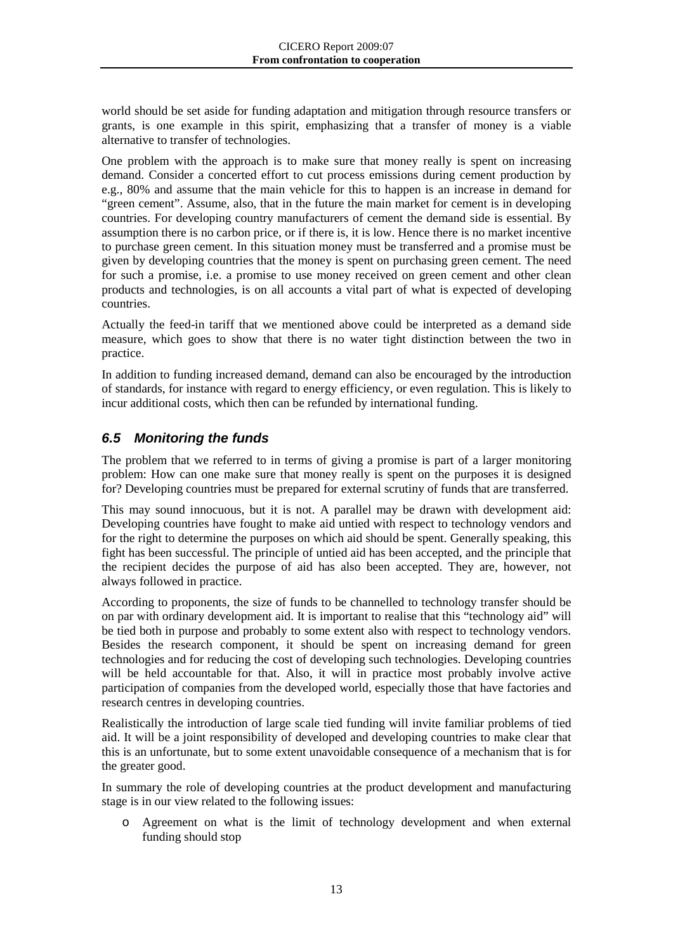world should be set aside for funding adaptation and mitigation through resource transfers or grants, is one example in this spirit, emphasizing that a transfer of money is a viable alternative to transfer of technologies.

One problem with the approach is to make sure that money really is spent on increasing demand. Consider a concerted effort to cut process emissions during cement production by e.g., 80% and assume that the main vehicle for this to happen is an increase in demand for "green cement". Assume, also, that in the future the main market for cement is in developing countries. For developing country manufacturers of cement the demand side is essential. By assumption there is no carbon price, or if there is, it is low. Hence there is no market incentive to purchase green cement. In this situation money must be transferred and a promise must be given by developing countries that the money is spent on purchasing green cement. The need for such a promise, i.e. a promise to use money received on green cement and other clean products and technologies, is on all accounts a vital part of what is expected of developing countries.

Actually the feed-in tariff that we mentioned above could be interpreted as a demand side measure, which goes to show that there is no water tight distinction between the two in practice.

In addition to funding increased demand, demand can also be encouraged by the introduction of standards, for instance with regard to energy efficiency, or even regulation. This is likely to incur additional costs, which then can be refunded by international funding.

#### <span id="page-15-0"></span>*6.5 Monitoring the funds*

The problem that we referred to in terms of giving a promise is part of a larger monitoring problem: How can one make sure that money really is spent on the purposes it is designed for? Developing countries must be prepared for external scrutiny of funds that are transferred.

This may sound innocuous, but it is not. A parallel may be drawn with development aid: Developing countries have fought to make aid untied with respect to technology vendors and for the right to determine the purposes on which aid should be spent. Generally speaking, this fight has been successful. The principle of untied aid has been accepted, and the principle that the recipient decides the purpose of aid has also been accepted. They are, however, not always followed in practice.

According to proponents, the size of funds to be channelled to technology transfer should be on par with ordinary development aid. It is important to realise that this "technology aid" will be tied both in purpose and probably to some extent also with respect to technology vendors. Besides the research component, it should be spent on increasing demand for green technologies and for reducing the cost of developing such technologies. Developing countries will be held accountable for that. Also, it will in practice most probably involve active participation of companies from the developed world, especially those that have factories and research centres in developing countries.

Realistically the introduction of large scale tied funding will invite familiar problems of tied aid. It will be a joint responsibility of developed and developing countries to make clear that this is an unfortunate, but to some extent unavoidable consequence of a mechanism that is for the greater good.

In summary the role of developing countries at the product development and manufacturing stage is in our view related to the following issues:

o Agreement on what is the limit of technology development and when external funding should stop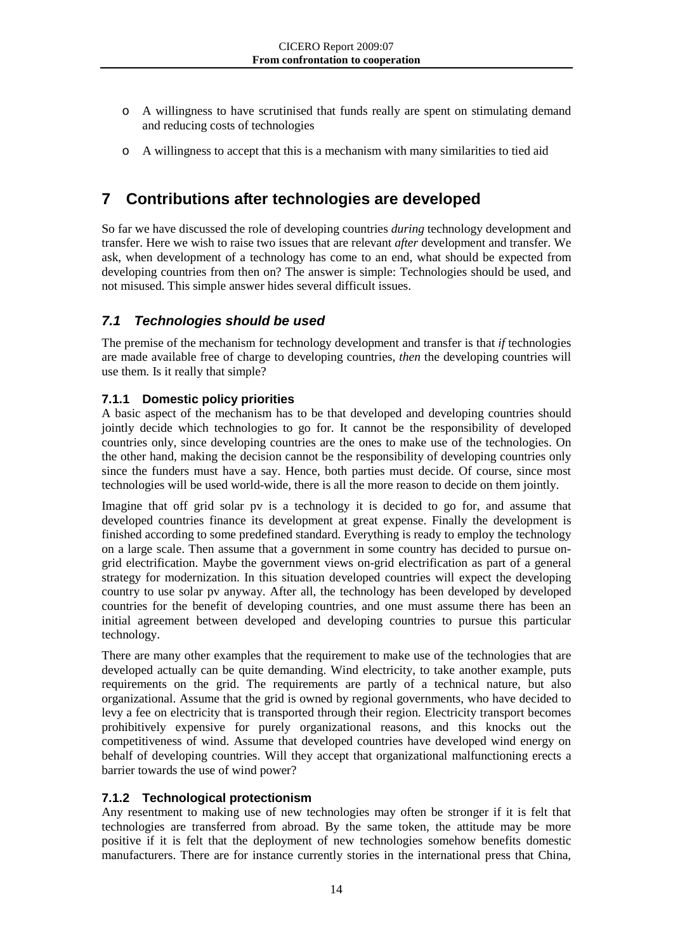- o A willingness to have scrutinised that funds really are spent on stimulating demand and reducing costs of technologies
- o A willingness to accept that this is a mechanism with many similarities to tied aid

## <span id="page-16-0"></span>**7 Contributions after technologies are developed**

So far we have discussed the role of developing countries *during* technology development and transfer. Here we wish to raise two issues that are relevant *after* development and transfer. We ask, when development of a technology has come to an end, what should be expected from developing countries from then on? The answer is simple: Technologies should be used, and not misused. This simple answer hides several difficult issues.

#### <span id="page-16-1"></span>*7.1 Technologies should be used*

The premise of the mechanism for technology development and transfer is that *if* technologies are made available free of charge to developing countries, *then* the developing countries will use them. Is it really that simple?

#### <span id="page-16-2"></span>**7.1.1 Domestic policy priorities**

A basic aspect of the mechanism has to be that developed and developing countries should jointly decide which technologies to go for. It cannot be the responsibility of developed countries only, since developing countries are the ones to make use of the technologies. On the other hand, making the decision cannot be the responsibility of developing countries only since the funders must have a say. Hence, both parties must decide. Of course, since most technologies will be used world-wide, there is all the more reason to decide on them jointly.

Imagine that off grid solar pv is a technology it is decided to go for, and assume that developed countries finance its development at great expense. Finally the development is finished according to some predefined standard. Everything is ready to employ the technology on a large scale. Then assume that a government in some country has decided to pursue ongrid electrification. Maybe the government views on-grid electrification as part of a general strategy for modernization. In this situation developed countries will expect the developing country to use solar pv anyway. After all, the technology has been developed by developed countries for the benefit of developing countries, and one must assume there has been an initial agreement between developed and developing countries to pursue this particular technology.

There are many other examples that the requirement to make use of the technologies that are developed actually can be quite demanding. Wind electricity, to take another example, puts requirements on the grid. The requirements are partly of a technical nature, but also organizational. Assume that the grid is owned by regional governments, who have decided to levy a fee on electricity that is transported through their region. Electricity transport becomes prohibitively expensive for purely organizational reasons, and this knocks out the competitiveness of wind. Assume that developed countries have developed wind energy on behalf of developing countries. Will they accept that organizational malfunctioning erects a barrier towards the use of wind power?

#### <span id="page-16-3"></span>**7.1.2 Technological protectionism**

Any resentment to making use of new technologies may often be stronger if it is felt that technologies are transferred from abroad. By the same token, the attitude may be more positive if it is felt that the deployment of new technologies somehow benefits domestic manufacturers. There are for instance currently stories in the international press that China,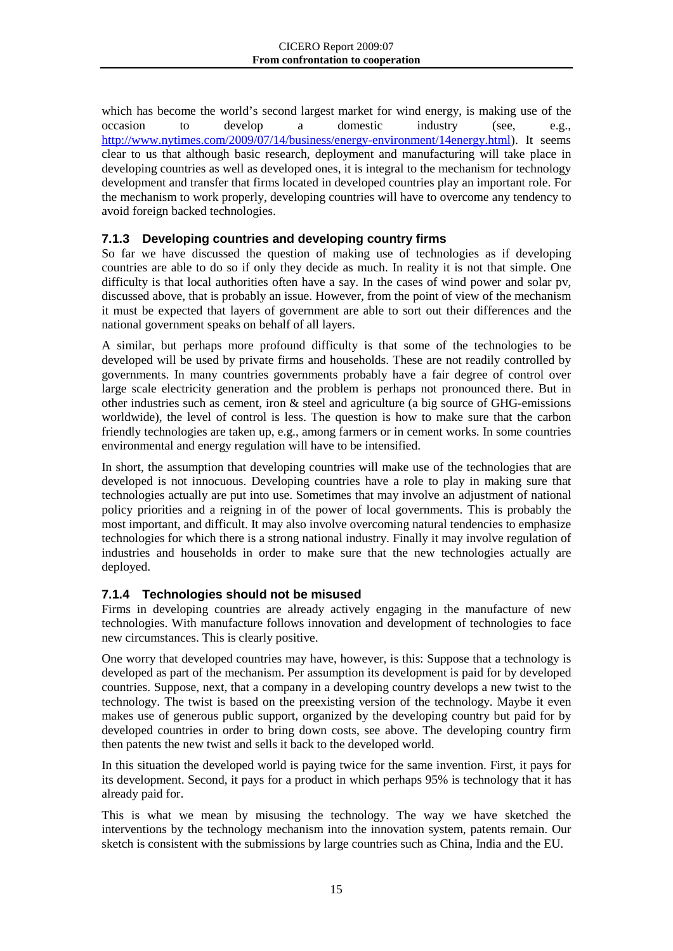which has become the world's second largest market for wind energy, is making use of the occasion to develop a domestic industry (see, e.g., [http://www.nytimes.com/2009/07/14/business/energy-environment/14energy.html\)](http://www.nytimes.com/2009/07/14/business/energy-environment/14energy.html). It seems clear to us that although basic research, deployment and manufacturing will take place in developing countries as well as developed ones, it is integral to the mechanism for technology development and transfer that firms located in developed countries play an important role. For the mechanism to work properly, developing countries will have to overcome any tendency to avoid foreign backed technologies.

#### <span id="page-17-0"></span>**7.1.3 Developing countries and developing country firms**

So far we have discussed the question of making use of technologies as if developing countries are able to do so if only they decide as much. In reality it is not that simple. One difficulty is that local authorities often have a say. In the cases of wind power and solar pv, discussed above, that is probably an issue. However, from the point of view of the mechanism it must be expected that layers of government are able to sort out their differences and the national government speaks on behalf of all layers.

A similar, but perhaps more profound difficulty is that some of the technologies to be developed will be used by private firms and households. These are not readily controlled by governments. In many countries governments probably have a fair degree of control over large scale electricity generation and the problem is perhaps not pronounced there. But in other industries such as cement, iron  $\&$  steel and agriculture (a big source of GHG-emissions worldwide), the level of control is less. The question is how to make sure that the carbon friendly technologies are taken up, e.g., among farmers or in cement works. In some countries environmental and energy regulation will have to be intensified.

In short, the assumption that developing countries will make use of the technologies that are developed is not innocuous. Developing countries have a role to play in making sure that technologies actually are put into use. Sometimes that may involve an adjustment of national policy priorities and a reigning in of the power of local governments. This is probably the most important, and difficult. It may also involve overcoming natural tendencies to emphasize technologies for which there is a strong national industry. Finally it may involve regulation of industries and households in order to make sure that the new technologies actually are deployed.

#### <span id="page-17-1"></span>**7.1.4 Technologies should not be misused**

Firms in developing countries are already actively engaging in the manufacture of new technologies. With manufacture follows innovation and development of technologies to face new circumstances. This is clearly positive.

One worry that developed countries may have, however, is this: Suppose that a technology is developed as part of the mechanism. Per assumption its development is paid for by developed countries. Suppose, next, that a company in a developing country develops a new twist to the technology. The twist is based on the preexisting version of the technology. Maybe it even makes use of generous public support, organized by the developing country but paid for by developed countries in order to bring down costs, see above. The developing country firm then patents the new twist and sells it back to the developed world.

In this situation the developed world is paying twice for the same invention. First, it pays for its development. Second, it pays for a product in which perhaps 95% is technology that it has already paid for.

This is what we mean by misusing the technology. The way we have sketched the interventions by the technology mechanism into the innovation system, patents remain. Our sketch is consistent with the submissions by large countries such as China, India and the EU.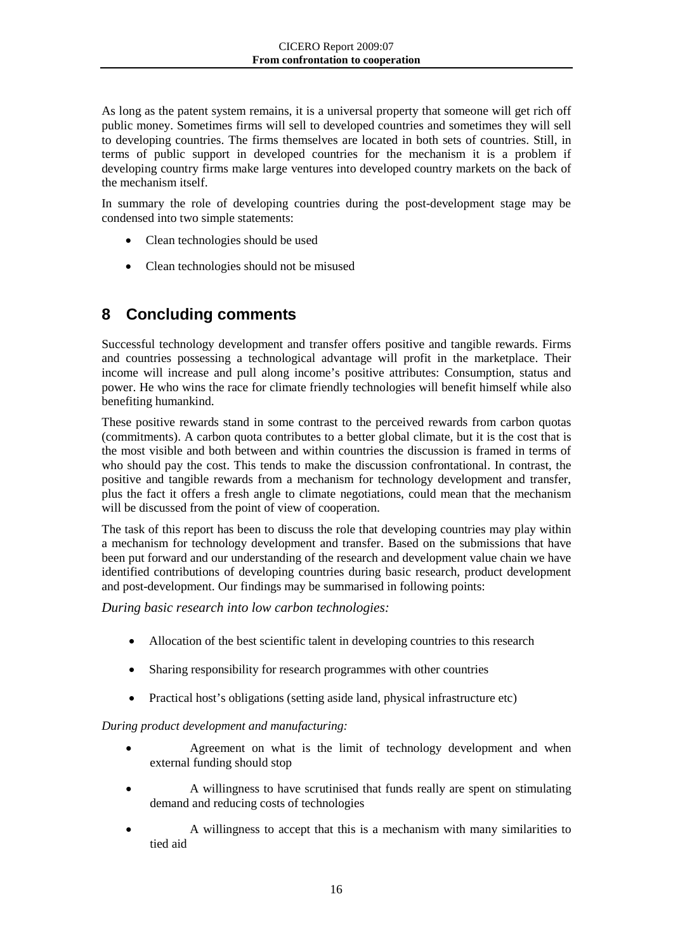As long as the patent system remains, it is a universal property that someone will get rich off public money. Sometimes firms will sell to developed countries and sometimes they will sell to developing countries. The firms themselves are located in both sets of countries. Still, in terms of public support in developed countries for the mechanism it is a problem if developing country firms make large ventures into developed country markets on the back of the mechanism itself.

In summary the role of developing countries during the post-development stage may be condensed into two simple statements:

- Clean technologies should be used
- Clean technologies should not be misused

## <span id="page-18-0"></span>**8 Concluding comments**

Successful technology development and transfer offers positive and tangible rewards. Firms and countries possessing a technological advantage will profit in the marketplace. Their income will increase and pull along income's positive attributes: Consumption, status and power. He who wins the race for climate friendly technologies will benefit himself while also benefiting humankind.

These positive rewards stand in some contrast to the perceived rewards from carbon quotas (commitments). A carbon quota contributes to a better global climate, but it is the cost that is the most visible and both between and within countries the discussion is framed in terms of who should pay the cost. This tends to make the discussion confrontational. In contrast, the positive and tangible rewards from a mechanism for technology development and transfer, plus the fact it offers a fresh angle to climate negotiations, could mean that the mechanism will be discussed from the point of view of cooperation.

The task of this report has been to discuss the role that developing countries may play within a mechanism for technology development and transfer. Based on the submissions that have been put forward and our understanding of the research and development value chain we have identified contributions of developing countries during basic research, product development and post-development. Our findings may be summarised in following points:

*During basic research into low carbon technologies:*

- Allocation of the best scientific talent in developing countries to this research
- Sharing responsibility for research programmes with other countries
- Practical host's obligations (setting aside land, physical infrastructure etc)

*During product development and manufacturing:*

- Agreement on what is the limit of technology development and when external funding should stop
- A willingness to have scrutinised that funds really are spent on stimulating demand and reducing costs of technologies
- A willingness to accept that this is a mechanism with many similarities to tied aid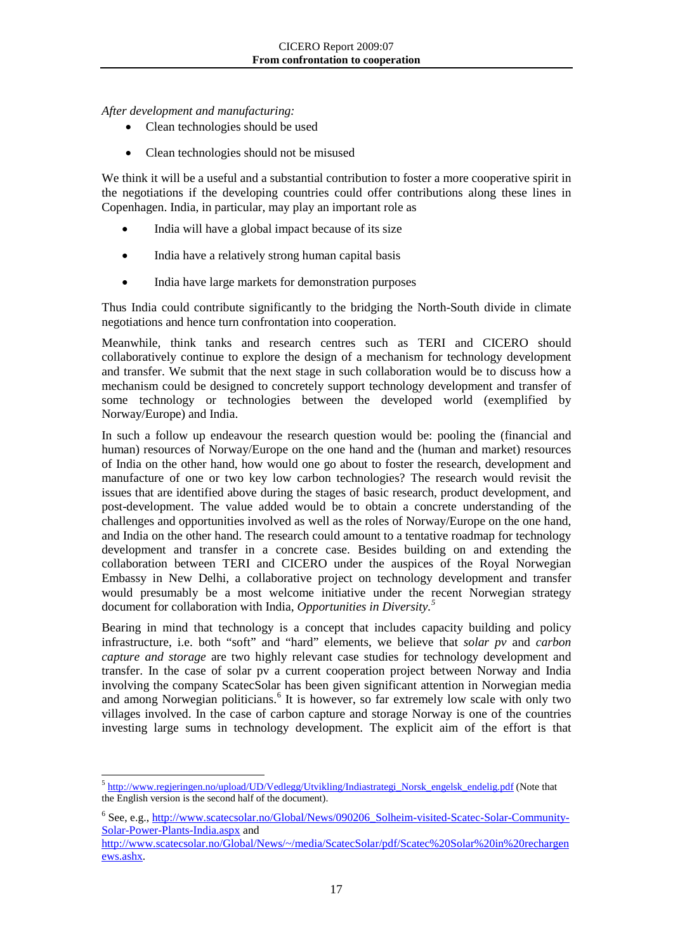*After development and manufacturing:*

- Clean technologies should be used
- Clean technologies should not be misused

We think it will be a useful and a substantial contribution to foster a more cooperative spirit in the negotiations if the developing countries could offer contributions along these lines in Copenhagen. India, in particular, may play an important role as

- India will have a global impact because of its size
- India have a relatively strong human capital basis
- India have large markets for demonstration purposes

Thus India could contribute significantly to the bridging the North-South divide in climate negotiations and hence turn confrontation into cooperation.

Meanwhile, think tanks and research centres such as TERI and CICERO should collaboratively continue to explore the design of a mechanism for technology development and transfer. We submit that the next stage in such collaboration would be to discuss how a mechanism could be designed to concretely support technology development and transfer of some technology or technologies between the developed world (exemplified by Norway/Europe) and India.

In such a follow up endeavour the research question would be: pooling the (financial and human) resources of Norway/Europe on the one hand and the (human and market) resources of India on the other hand, how would one go about to foster the research, development and manufacture of one or two key low carbon technologies? The research would revisit the issues that are identified above during the stages of basic research, product development, and post-development. The value added would be to obtain a concrete understanding of the challenges and opportunities involved as well as the roles of Norway/Europe on the one hand, and India on the other hand. The research could amount to a tentative roadmap for technology development and transfer in a concrete case. Besides building on and extending the collaboration between TERI and CICERO under the auspices of the Royal Norwegian Embassy in New Delhi, a collaborative project on technology development and transfer would presumably be a most welcome initiative under the recent Norwegian strategy document for collaboration with India, *Opportunities in Diversity.[5](#page-19-0)*

Bearing in mind that technology is a concept that includes capacity building and policy infrastructure, i.e. both "soft" and "hard" elements, we believe that *solar pv* and *carbon capture and storage* are two highly relevant case studies for technology development and transfer. In the case of solar pv a current cooperation project between Norway and India involving the company ScatecSolar has been given significant attention in Norwegian media and among Norwegian politicians.<sup>[6](#page-19-1)</sup> It is however, so far extremely low scale with only two villages involved. In the case of carbon capture and storage Norway is one of the countries investing large sums in technology development. The explicit aim of the effort is that

<span id="page-19-0"></span> $\frac{1}{5}$ <sup>5</sup> [http://www.regjeringen.no/upload/UD/Vedlegg/Utvikling/Indiastrategi\\_Norsk\\_engelsk\\_endelig.pdf](http://www.regjeringen.no/upload/UD/Vedlegg/Utvikling/Indiastrategi_Norsk_engelsk_endelig.pdf) (Note that the English version is the second half of the document).

<span id="page-19-1"></span><sup>6</sup> See, e.g.[, http://www.scatecsolar.no/Global/News/090206\\_Solheim-visited-Scatec-Solar-Community-](http://www.scatecsolar.no/Global/News/090206_Solheim-visited-Scatec-Solar-Community-Solar-Power-Plants-India.aspx)[Solar-Power-Plants-India.aspx](http://www.scatecsolar.no/Global/News/090206_Solheim-visited-Scatec-Solar-Community-Solar-Power-Plants-India.aspx) and

[http://www.scatecsolar.no/Global/News/~/media/ScatecSolar/pdf/Scatec%20Solar%20in%20rechargen](http://www.scatecsolar.no/Global/News/~/media/ScatecSolar/pdf/Scatec%20Solar%20in%20rechargenews.ashx) [ews.ashx.](http://www.scatecsolar.no/Global/News/~/media/ScatecSolar/pdf/Scatec%20Solar%20in%20rechargenews.ashx)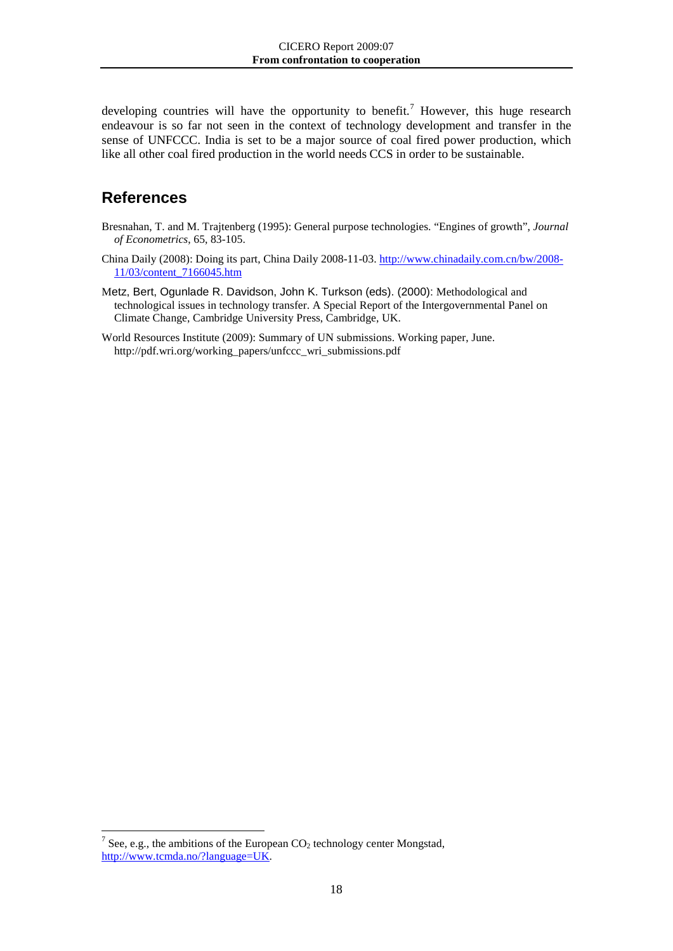developing countries will have the opportunity to benefit.<sup>[7](#page-20-0)</sup> However, this huge research endeavour is so far not seen in the context of technology development and transfer in the sense of UNFCCC. India is set to be a major source of coal fired power production, which like all other coal fired production in the world needs CCS in order to be sustainable.

## **References**

- Bresnahan, T. and M. Trajtenberg (1995): General purpose technologies. "Engines of growth", *Journal of Econometrics*, 65, 83-105.
- China Daily (2008): Doing its part, China Daily 2008-11-03. [http://www.chinadaily.com.cn/bw/2008-](http://www.chinadaily.com.cn/bw/2008-11/03/content_7166045.htm) [11/03/content\\_7166045.htm](http://www.chinadaily.com.cn/bw/2008-11/03/content_7166045.htm)
- Metz, Bert, Ogunlade R. Davidson, John K. Turkson (eds). (2000): Methodological and technological issues in technology transfer. A Special Report of the Intergovernmental Panel on Climate Change, Cambridge University Press, Cambridge, UK.
- World Resources Institute (2009): Summary of UN submissions. Working paper, June. http://pdf.wri.org/working\_papers/unfccc\_wri\_submissions.pdf

<span id="page-20-0"></span><sup>&</sup>lt;sup>7</sup> See, e.g., the ambitions of the European CO<sub>2</sub> technology center Mongstad, [http://www.tcmda.no/?language=UK.](http://www.tcmda.no/?language=UK)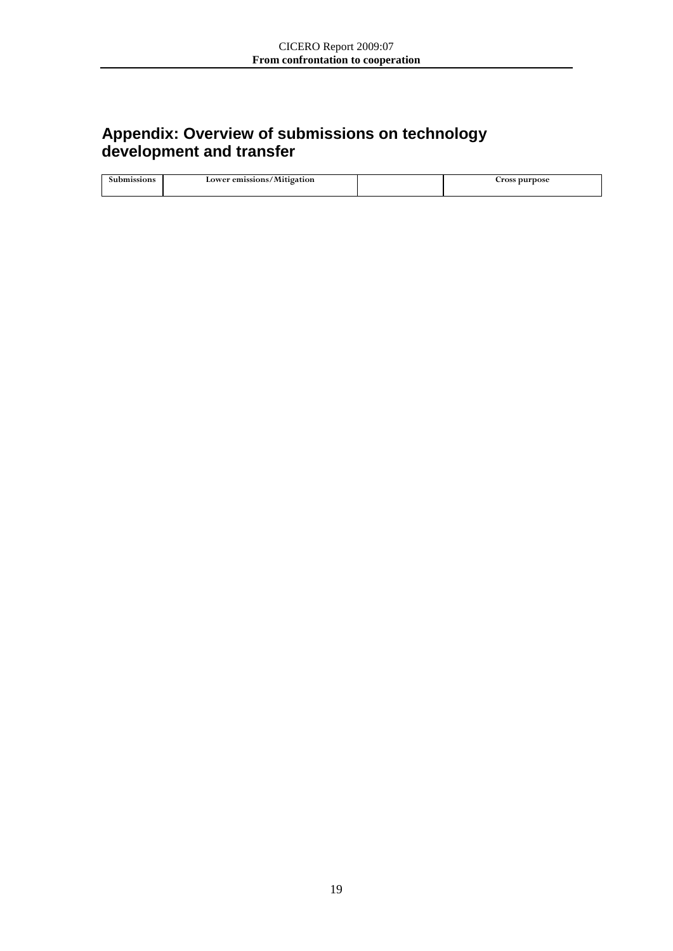## **Appendix: Overview of submissions on technology development and transfer**

| <b>issions</b> | Lower emissions/Mitigation | <b>arpose</b><br>$\sim$ ross |
|----------------|----------------------------|------------------------------|
|                |                            |                              |
|                |                            |                              |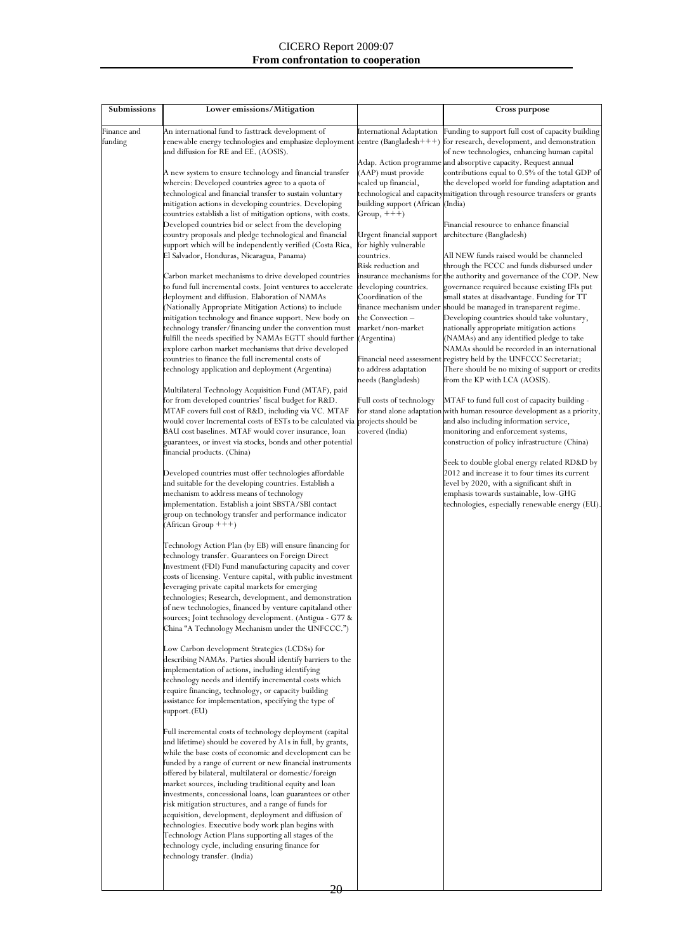#### CICERO Report 2009:07 **From confrontation to cooperation**

| Submissions            | Lower emissions/Mitigation                                                                                                                                                                                                                                                                                                                                                                                                                                                                                                                                                                                                                                                                                                                                                                                                                                                                                                                                                                                                                                                                                                                                                                                                                                                                                                                                                                                                                                                                                                                                                                                                                                                                                                                                                                                                                                                                                                                                                                                                                                                                                                                                                                                                                                                                                                                                                                                                                                                                                                                                                                                                                                                                                                                                                                                                                                                                                                                                                                                                                                                                                                                                                                                                                                                                                                                                                                                                                                                                                                                                                                                                                                  |                                                                                                                                                                                                                                                                                                                                                                                                                                                                                    | <b>Cross purpose</b>                                                                                                                                                                                                                                                                                                                                                                                                                                                                                                                                                                                                                                                                                                                                                                                                                                                                                                                                                                                                                                                                                                                                                                                                                                                                                                                                                                                                                                                                                                                                                                                                                                                                |
|------------------------|-------------------------------------------------------------------------------------------------------------------------------------------------------------------------------------------------------------------------------------------------------------------------------------------------------------------------------------------------------------------------------------------------------------------------------------------------------------------------------------------------------------------------------------------------------------------------------------------------------------------------------------------------------------------------------------------------------------------------------------------------------------------------------------------------------------------------------------------------------------------------------------------------------------------------------------------------------------------------------------------------------------------------------------------------------------------------------------------------------------------------------------------------------------------------------------------------------------------------------------------------------------------------------------------------------------------------------------------------------------------------------------------------------------------------------------------------------------------------------------------------------------------------------------------------------------------------------------------------------------------------------------------------------------------------------------------------------------------------------------------------------------------------------------------------------------------------------------------------------------------------------------------------------------------------------------------------------------------------------------------------------------------------------------------------------------------------------------------------------------------------------------------------------------------------------------------------------------------------------------------------------------------------------------------------------------------------------------------------------------------------------------------------------------------------------------------------------------------------------------------------------------------------------------------------------------------------------------------------------------------------------------------------------------------------------------------------------------------------------------------------------------------------------------------------------------------------------------------------------------------------------------------------------------------------------------------------------------------------------------------------------------------------------------------------------------------------------------------------------------------------------------------------------------------------------------------------------------------------------------------------------------------------------------------------------------------------------------------------------------------------------------------------------------------------------------------------------------------------------------------------------------------------------------------------------------------------------------------------------------------------------------------------------------|------------------------------------------------------------------------------------------------------------------------------------------------------------------------------------------------------------------------------------------------------------------------------------------------------------------------------------------------------------------------------------------------------------------------------------------------------------------------------------|-------------------------------------------------------------------------------------------------------------------------------------------------------------------------------------------------------------------------------------------------------------------------------------------------------------------------------------------------------------------------------------------------------------------------------------------------------------------------------------------------------------------------------------------------------------------------------------------------------------------------------------------------------------------------------------------------------------------------------------------------------------------------------------------------------------------------------------------------------------------------------------------------------------------------------------------------------------------------------------------------------------------------------------------------------------------------------------------------------------------------------------------------------------------------------------------------------------------------------------------------------------------------------------------------------------------------------------------------------------------------------------------------------------------------------------------------------------------------------------------------------------------------------------------------------------------------------------------------------------------------------------------------------------------------------------|
| Finance and<br>funding | An international fund to fasttrack development of<br>renewable energy technologies and emphasize deployment<br>and diffusion for RE and EE. (AOSIS).<br>A new system to ensure technology and financial transfer<br>wherein: Developed countries agree to a quota of<br>technological and financial transfer to sustain voluntary<br>mitigation actions in developing countries. Developing<br>countries establish a list of mitigation options, with costs.<br>Developed countries bid or select from the developing<br>country proposals and pledge technological and financial<br>support which will be independently verified (Costa Rica,<br>El Salvador, Honduras, Nicaragua, Panama)<br>Carbon market mechanisms to drive developed countries<br>to fund full incremental costs. Joint ventures to accelerate<br>deployment and diffusion. Elaboration of NAMAs<br>(Nationally Appropriate Mitigation Actions) to include<br>mitigation technology and finance support. New body on<br>technology transfer/financing under the convention must<br>fulfill the needs specified by NAMAs EGTT should further<br>explore carbon market mechanisms that drive developed<br>countries to finance the full incremental costs of<br>technology application and deployment (Argentina)<br>Multilateral Technology Acquisition Fund (MTAF), paid<br>for from developed countries' fiscal budget for R&D.<br>MTAF covers full cost of R&D, including via VC. MTAF<br>would cover Incremental costs of ESTs to be calculated via<br>BAU cost baselines. MTAF would cover insurance, loan<br>guarantees, or invest via stocks, bonds and other potential<br>financial products. (China)<br>Developed countries must offer technologies affordable<br>and suitable for the developing countries. Establish a<br>mechanism to address means of technology<br>implementation. Establish a joint SBSTA/SBI contact<br>group on technology transfer and performance indicator<br>(African Group +++)<br>Technology Action Plan (by EB) will ensure financing for<br>technology transfer. Guarantees on Foreign Direct<br>Investment (FDI) Fund manufacturing capacity and cover<br>costs of licensing. Venture capital, with public investment<br>leveraging private capital markets for emerging<br>technologies; Research, development, and demonstration<br>of new technologies, financed by venture capitaland other<br>sources; Joint technology development. (Antigua - G77 &<br>China "A Technology Mechanism under the UNFCCC.")<br>Low Carbon development Strategies (LCDSs) for<br>describing NAMAs. Parties should identify barriers to the<br>implementation of actions, including identifying<br>technology needs and identify incremental costs which<br>require financing, technology, or capacity building<br>assistance for implementation, specifying the type of<br>support.(EU)<br>Full incremental costs of technology deployment (capital<br>and lifetime) should be covered by A1s in full, by grants,<br>while the base costs of economic and development can be<br>funded by a range of current or new financial instruments<br>offered by bilateral, multilateral or domestic/foreign<br>market sources, including traditional equity and loan<br>investments, concessional loans, loan guarantees or other<br>risk mitigation structures, and a range of funds for<br>acquisition, development, deployment and diffusion of<br>technologies. Executive body work plan begins with<br>Technology Action Plans supporting all stages of the<br>technology cycle, including ensuring finance for<br>technology transfer. (India)<br><u>ാറ</u> | <b>International Adaptation</b><br>centre (Bangladesh+++)<br>(AAP) must provide<br>scaled up financial,<br>building support (African (India)<br>$Group, +++)$<br>Urgent financial support<br>for highly vulnerable<br>countries.<br>Risk reduction and<br>developing countries.<br>Coordination of the<br>the Convection –<br>market/non-market<br>(Argentina)<br>to address adaptation<br>needs (Bangladesh)<br>Full costs of technology<br>projects should be<br>covered (India) | Funding to support full cost of capacity building<br>for research, development, and demonstration<br>of new technologies, enhancing human capital<br>Adap. Action programme and absorptive capacity. Request annual<br>contributions equal to 0.5% of the total GDP of<br>the developed world for funding adaptation and<br>technological and capacitymitigation through resource transfers or grants<br>Financial resource to enhance financial<br>architecture (Bangladesh)<br>All NEW funds raised would be channeled<br>through the FCCC and funds disbursed under<br>insurance mechanisms for the authority and governance of the COP. New<br>governance required because existing IFIs put<br>small states at disadvantage. Funding for TT<br>finance mechanism under should be managed in transparent regime.<br>Developing countries should take voluntary,<br>nationally appropriate mitigation actions<br>(NAMAs) and any identified pledge to take<br>NAMAs should be recorded in an international<br>Financial need assessment registry held by the UNFCCC Secretariat;<br>There should be no mixing of support or credits<br>from the KP with LCA (AOSIS).<br>MTAF to fund full cost of capacity building -<br>for stand alone adaptation with human resource development as a priority,<br>and also including information service,<br>monitoring and enforcement systems,<br>construction of policy infrastructure (China)<br>Seek to double global energy related RD&D by<br>2012 and increase it to four times its current<br>level by 2020, with a significant shift in<br>emphasis towards sustainable, low-GHG<br>technologies, especially renewable energy (EU) |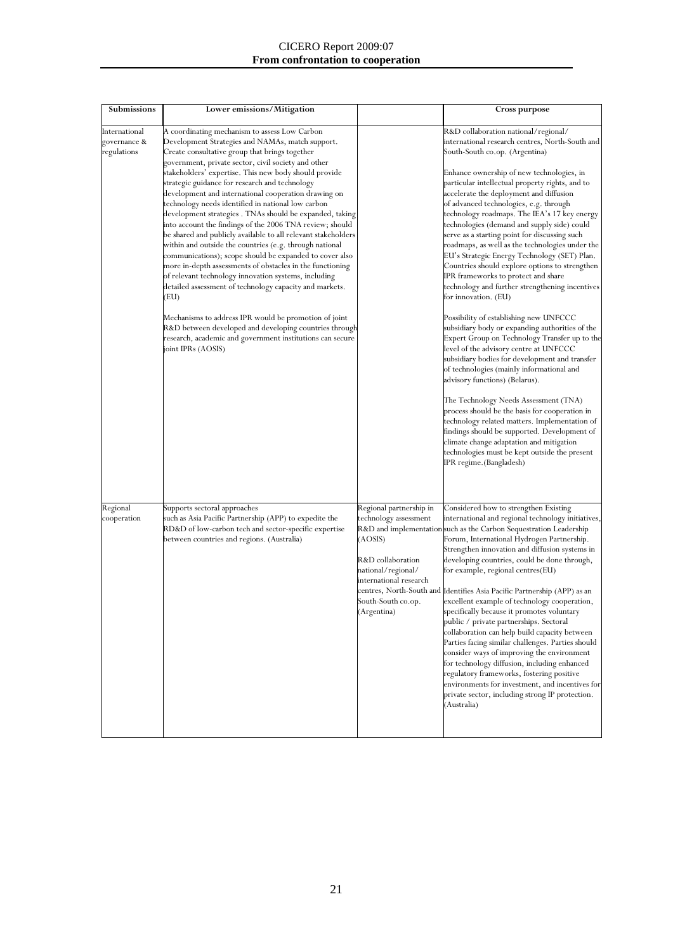#### CICERO Report 2009:07 **From confrontation to cooperation**

| Submissions                                  | Lower emissions/Mitigation                                                                                                                                                                                                                                                                                                                                                                                                                                                                                                                                                                                                                                                                                                                                                                                                                                                                                                                                                                                                                                                                                                                       |                                                                                                                                                                       | <b>Cross purpose</b>                                                                                                                                                                                                                                                                                                                                                                                                                                                                                                                                                                                                                                                                                                                                                                                                                                                                                                                                                                                                                                                                                                                                                                                                                                                                                                                                                               |
|----------------------------------------------|--------------------------------------------------------------------------------------------------------------------------------------------------------------------------------------------------------------------------------------------------------------------------------------------------------------------------------------------------------------------------------------------------------------------------------------------------------------------------------------------------------------------------------------------------------------------------------------------------------------------------------------------------------------------------------------------------------------------------------------------------------------------------------------------------------------------------------------------------------------------------------------------------------------------------------------------------------------------------------------------------------------------------------------------------------------------------------------------------------------------------------------------------|-----------------------------------------------------------------------------------------------------------------------------------------------------------------------|------------------------------------------------------------------------------------------------------------------------------------------------------------------------------------------------------------------------------------------------------------------------------------------------------------------------------------------------------------------------------------------------------------------------------------------------------------------------------------------------------------------------------------------------------------------------------------------------------------------------------------------------------------------------------------------------------------------------------------------------------------------------------------------------------------------------------------------------------------------------------------------------------------------------------------------------------------------------------------------------------------------------------------------------------------------------------------------------------------------------------------------------------------------------------------------------------------------------------------------------------------------------------------------------------------------------------------------------------------------------------------|
| International<br>governance &<br>regulations | A coordinating mechanism to assess Low Carbon<br>Development Strategies and NAMAs, match support.<br>Create consultative group that brings together<br>government, private sector, civil society and other<br>stakeholders' expertise. This new body should provide<br>strategic guidance for research and technology<br>development and international cooperation drawing on<br>technology needs identified in national low carbon<br>development strategies . TNAs should be expanded, taking<br>into account the findings of the 2006 TNA review; should<br>be shared and publicly available to all relevant stakeholders<br>within and outside the countries (e.g. through national<br>communications); scope should be expanded to cover also<br>more in-depth assessments of obstacles in the functioning<br>of relevant technology innovation systems, including<br>detailed assessment of technology capacity and markets.<br>(EU)<br>Mechanisms to address IPR would be promotion of joint<br>R&D between developed and developing countries through<br>research, academic and government institutions can secure<br>joint IPRs (AOSIS) |                                                                                                                                                                       | R&D collaboration national/regional/<br>international research centres, North-South and<br>South-South co.op. (Argentina)<br>Enhance ownership of new technologies, in<br>particular intellectual property rights, and to<br>accelerate the deployment and diffusion<br>of advanced technologies, e.g. through<br>technology roadmaps. The IEA's 17 key energy<br>technologies (demand and supply side) could<br>serve as a starting point for discussing such<br>roadmaps, as well as the technologies under the<br>EU's Strategic Energy Technology (SET) Plan.<br>Countries should explore options to strengthen<br>IPR frameworks to protect and share<br>technology and further strengthening incentives<br>for innovation. (EU)<br>Possibility of establishing new UNFCCC<br>subsidiary body or expanding authorities of the<br>Expert Group on Technology Transfer up to the<br>level of the advisory centre at UNFCCC<br>subsidiary bodies for development and transfer<br>of technologies (mainly informational and<br>advisory functions) (Belarus).<br>The Technology Needs Assessment (TNA)<br>process should be the basis for cooperation in<br>technology related matters. Implementation of<br>findings should be supported. Development of<br>climate change adaptation and mitigation<br>technologies must be kept outside the present<br>IPR regime.(Bangladesh) |
| Regional<br>cooperation                      | Supports sectoral approaches<br>such as Asia Pacific Partnership (APP) to expedite the<br>RD&D of low-carbon tech and sector-specific expertise<br>between countries and regions. (Australia)                                                                                                                                                                                                                                                                                                                                                                                                                                                                                                                                                                                                                                                                                                                                                                                                                                                                                                                                                    | Regional partnership in<br>technology assessment<br>(AOSIS)<br>R&D collaboration<br>national/regional/<br>international research<br>South-South co.op.<br>(Argentina) | Considered how to strengthen Existing<br>international and regional technology initiatives,<br>R&D and implementation such as the Carbon Sequestration Leadership<br>Forum, International Hydrogen Partnership.<br>Strengthen innovation and diffusion systems in<br>developing countries, could be done through,<br>for example, regional centres(EU)<br>centres, North-South and Identifies Asia Pacific Partnership (APP) as an<br>excellent example of technology cooperation,<br>specifically because it promotes voluntary<br>public / private partnerships. Sectoral<br>collaboration can help build capacity between<br>Parties facing similar challenges. Parties should<br>consider ways of improving the environment<br>for technology diffusion, including enhanced<br>regulatory frameworks, fostering positive<br>environments for investment, and incentives for<br>private sector, including strong IP protection.<br>(Australia)                                                                                                                                                                                                                                                                                                                                                                                                                                  |